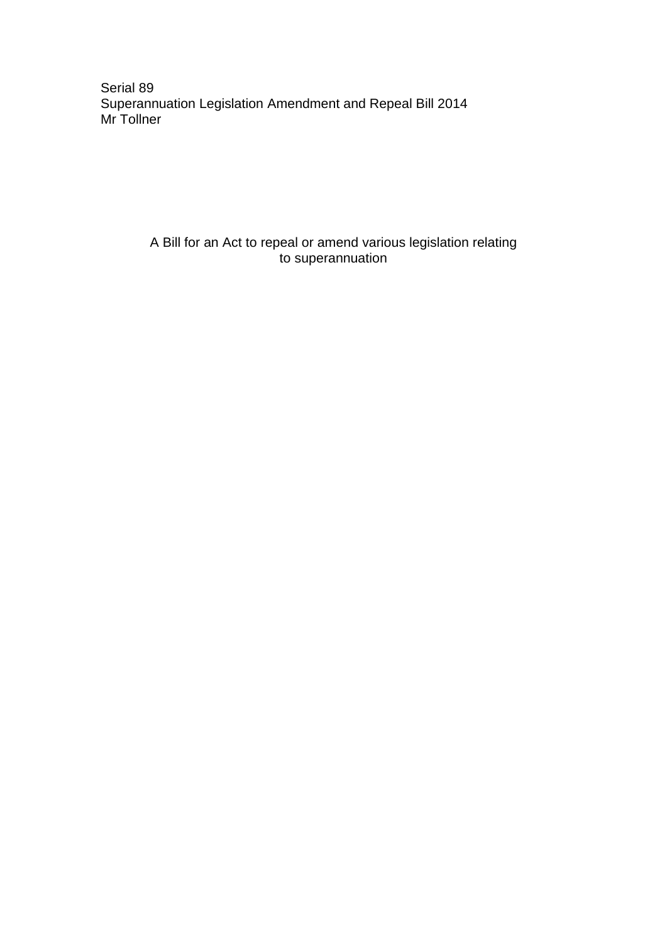Serial 89 Superannuation Legislation Amendment and Repeal Bill 2014 Mr Tollner

> A Bill for an Act to repeal or amend various legislation relating to superannuation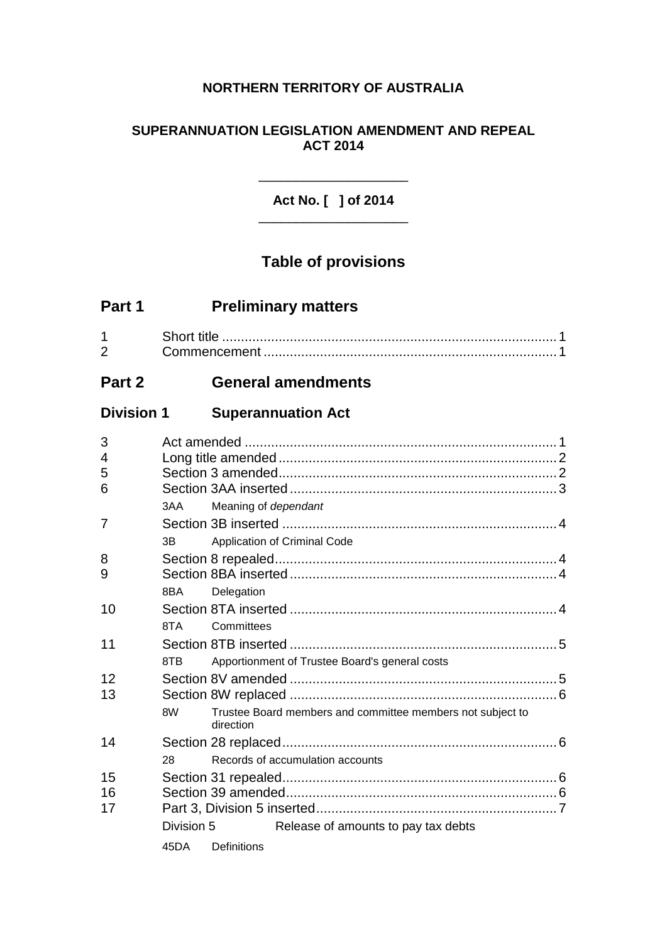# **NORTHERN TERRITORY OF AUSTRALIA**

## **SUPERANNUATION LEGISLATION AMENDMENT AND REPEAL ACT 2014**

**Act No. [ ] of 2014** \_\_\_\_\_\_\_\_\_\_\_\_\_\_\_\_\_\_\_\_

\_\_\_\_\_\_\_\_\_\_\_\_\_\_\_\_\_\_\_\_

# **Table of provisions**

| Part 1 | <b>Preliminary matters</b> |
|--------|----------------------------|
|--------|----------------------------|

| $\sqrt{2}$ |  |
|------------|--|

# **Part 2 General amendments**

# **Division 1 Superannuation Act**

| 3<br>4 |            |                      |                                                            |
|--------|------------|----------------------|------------------------------------------------------------|
| 5      |            |                      |                                                            |
| 6      |            |                      |                                                            |
|        | 3AA        | Meaning of dependant |                                                            |
| 7      |            |                      |                                                            |
|        | 3B         |                      | Application of Criminal Code                               |
| 8      |            |                      |                                                            |
| 9      |            |                      |                                                            |
|        | 8BA        | Delegation           |                                                            |
| 10     |            |                      |                                                            |
|        | 8TA        | Committees           |                                                            |
| 11     |            |                      |                                                            |
|        | 8TB        |                      | Apportionment of Trustee Board's general costs             |
| 12     |            |                      |                                                            |
| 13     |            |                      |                                                            |
|        | 8W         | direction            | Trustee Board members and committee members not subject to |
| 14     |            |                      |                                                            |
|        | 28         |                      | Records of accumulation accounts                           |
| 15     |            |                      |                                                            |
| 16     |            |                      |                                                            |
| 17     |            |                      |                                                            |
|        | Division 5 |                      | Release of amounts to pay tax debts                        |
|        | 45DA       | Definitions          |                                                            |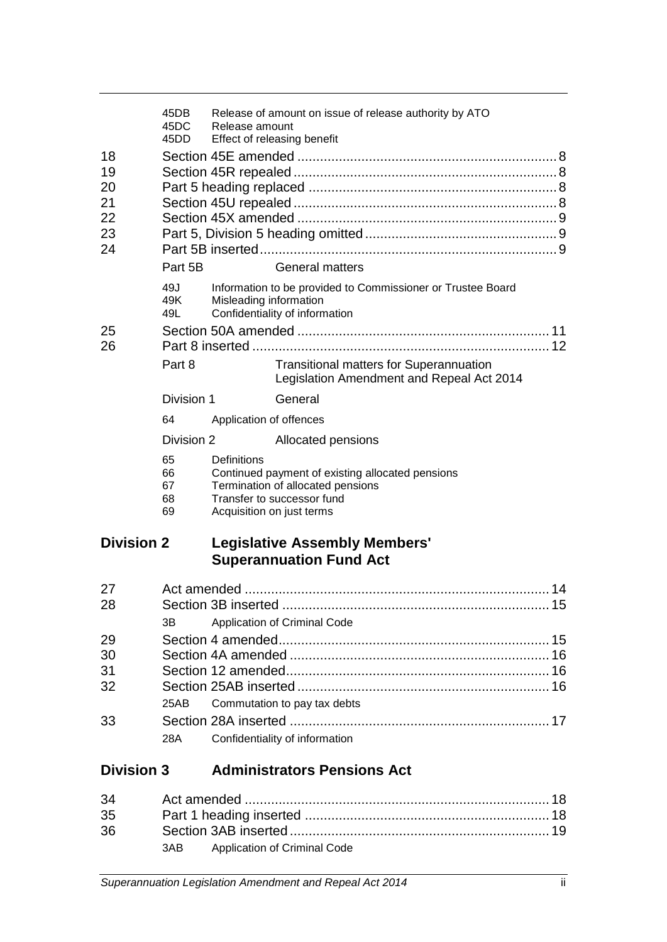|                                        | 45DB<br>45DC<br>45DD                                             | Release amount                           | Release of amount on issue of release authority by ATO                                                              |  |
|----------------------------------------|------------------------------------------------------------------|------------------------------------------|---------------------------------------------------------------------------------------------------------------------|--|
| 18<br>19<br>20<br>21<br>22<br>23<br>24 | Effect of releasing benefit<br>Part 5B<br><b>General matters</b> |                                          |                                                                                                                     |  |
| 25                                     | 49J<br>49K<br>49L                                                | Misleading information                   | Information to be provided to Commissioner or Trustee Board<br>Confidentiality of information                       |  |
| 26                                     |                                                                  |                                          |                                                                                                                     |  |
|                                        | Part 8                                                           |                                          | <b>Transitional matters for Superannuation</b><br>Legislation Amendment and Repeal Act 2014                         |  |
|                                        | Division 1                                                       |                                          | General                                                                                                             |  |
|                                        | 64                                                               | Application of offences                  |                                                                                                                     |  |
|                                        | Division 2                                                       |                                          | Allocated pensions                                                                                                  |  |
|                                        | 65<br>66<br>67<br>68<br>69                                       | Definitions<br>Acquisition on just terms | Continued payment of existing allocated pensions<br>Termination of allocated pensions<br>Transfer to successor fund |  |
| <b>Division 2</b>                      |                                                                  |                                          | <b>Legislative Assembly Members'</b><br><b>Superannuation Fund Act</b>                                              |  |
| 27<br>28                               | 3B                                                               |                                          | Application of Criminal Code                                                                                        |  |
| 29                                     |                                                                  |                                          |                                                                                                                     |  |
| 30                                     |                                                                  |                                          |                                                                                                                     |  |
| 31                                     |                                                                  |                                          |                                                                                                                     |  |
| 32                                     |                                                                  |                                          |                                                                                                                     |  |
|                                        | 25AB                                                             |                                          | Commutation to pay tax debts                                                                                        |  |
| 33                                     | 28A                                                              |                                          | Confidentiality of information                                                                                      |  |
| <b>Division 3</b>                      |                                                                  |                                          | <b>Administrators Pensions Act</b>                                                                                  |  |
|                                        |                                                                  |                                          |                                                                                                                     |  |

| 34 |  |                                  |  |
|----|--|----------------------------------|--|
| 35 |  |                                  |  |
| 36 |  |                                  |  |
|    |  | 3AB Application of Criminal Code |  |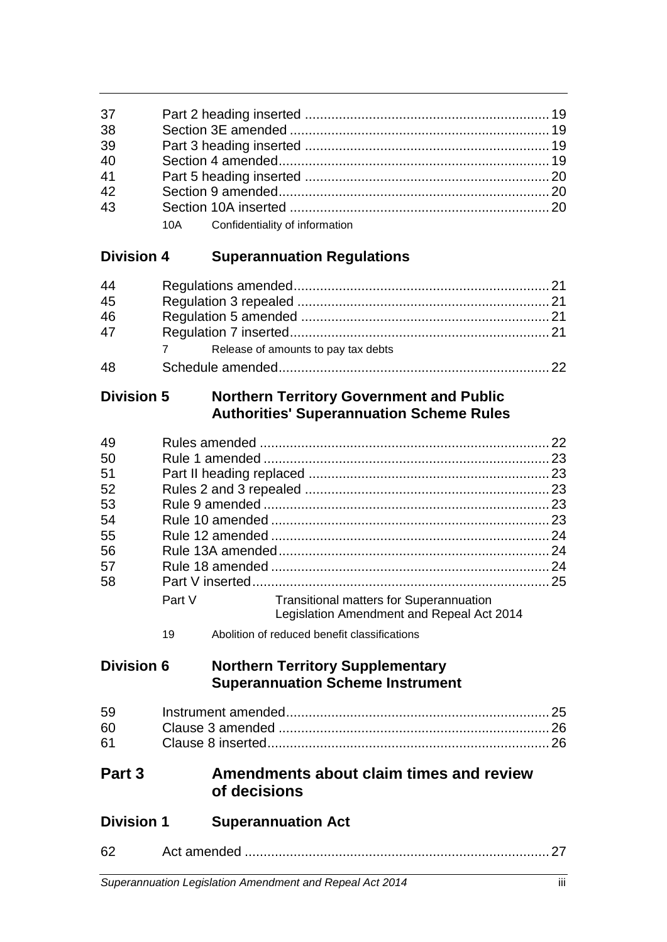| 37 |                                    |  |
|----|------------------------------------|--|
| 38 |                                    |  |
| 39 |                                    |  |
| 40 |                                    |  |
| 41 |                                    |  |
| 42 |                                    |  |
| 43 |                                    |  |
|    | 10A Confidentiality of information |  |

# **Division 4 Superannuation Regulations**

| 44 |                                     |  |
|----|-------------------------------------|--|
| 45 |                                     |  |
| 46 |                                     |  |
| 47 |                                     |  |
|    | Release of amounts to pay tax debts |  |
| 48 |                                     |  |

# **Division 5 Northern Territory Government and Public Authorities' Superannuation Scheme Rules**

| 49  |        |                                                                                             | 22 |
|-----|--------|---------------------------------------------------------------------------------------------|----|
| -50 |        |                                                                                             | 23 |
| 51  |        |                                                                                             | 23 |
| 52  |        |                                                                                             |    |
| 53  |        |                                                                                             | 23 |
| -54 |        |                                                                                             | 23 |
| 55  |        |                                                                                             | 24 |
| 56  |        |                                                                                             | 24 |
| 57  |        |                                                                                             | 24 |
| 58  |        |                                                                                             | 25 |
|     | Part V | <b>Transitional matters for Superannuation</b><br>Legislation Amendment and Repeal Act 2014 |    |

Abolition of reduced benefit classifications

# **Division 6 Northern Territory Supplementary Superannuation Scheme Instrument**

| 60 L         |  |
|--------------|--|
| 61 <b>61</b> |  |

# **Part 3 Amendments about claim times and review of decisions**

| <b>Division 1</b> | <b>Superannuation Act</b> |
|-------------------|---------------------------|
|                   |                           |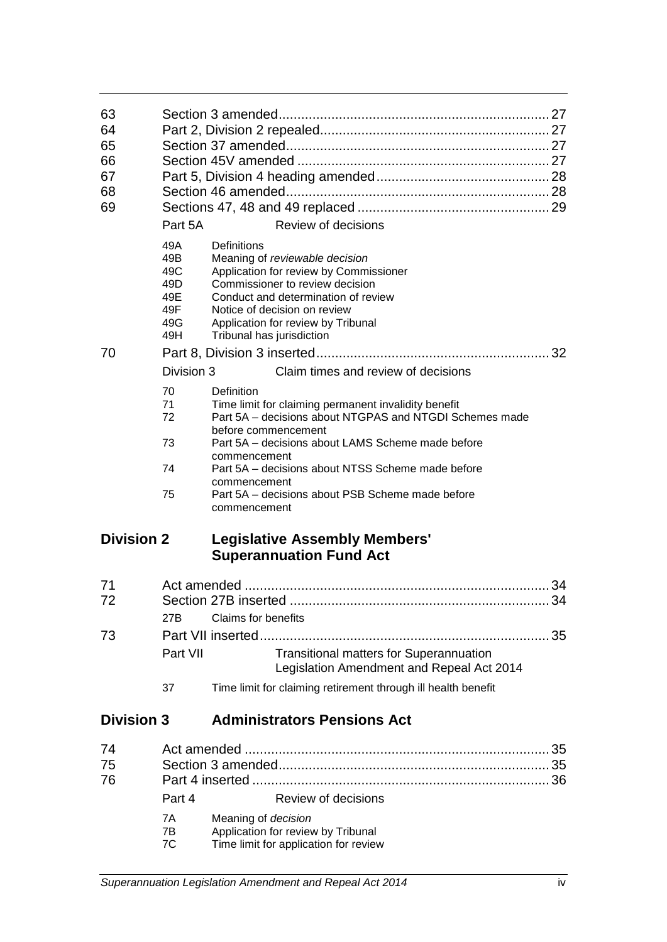| 63<br>64<br>65<br>66<br>67<br>68<br>69 |                                                      |                                          |                                                                                                                                                                                                                          |          |
|----------------------------------------|------------------------------------------------------|------------------------------------------|--------------------------------------------------------------------------------------------------------------------------------------------------------------------------------------------------------------------------|----------|
|                                        | Part 5A                                              |                                          | Review of decisions                                                                                                                                                                                                      |          |
|                                        | 49A<br>49B<br>49C<br>49D<br>49E<br>49F<br>49G<br>49H | Definitions<br>Tribunal has jurisdiction | Meaning of reviewable decision<br>Application for review by Commissioner<br>Commissioner to review decision<br>Conduct and determination of review<br>Notice of decision on review<br>Application for review by Tribunal |          |
| 70                                     |                                                      |                                          |                                                                                                                                                                                                                          |          |
|                                        | Division 3                                           |                                          | Claim times and review of decisions                                                                                                                                                                                      |          |
|                                        | 70<br>71<br>72                                       | Definition                               | Time limit for claiming permanent invalidity benefit<br>Part 5A - decisions about NTGPAS and NTGDI Schemes made                                                                                                          |          |
|                                        | 73                                                   | before commencement<br>commencement      | Part 5A - decisions about LAMS Scheme made before                                                                                                                                                                        |          |
|                                        | 74                                                   |                                          | Part 5A - decisions about NTSS Scheme made before                                                                                                                                                                        |          |
|                                        | 75                                                   | commencement<br>commencement             | Part 5A - decisions about PSB Scheme made before                                                                                                                                                                         |          |
| <b>Division 2</b>                      |                                                      |                                          | <b>Legislative Assembly Members'</b><br><b>Superannuation Fund Act</b>                                                                                                                                                   |          |
| 71<br>72                               | 27B                                                  | <b>Claims for benefits</b>               |                                                                                                                                                                                                                          | 34<br>34 |
| 73                                     |                                                      |                                          |                                                                                                                                                                                                                          |          |
|                                        | Part VII                                             |                                          | <b>Transitional matters for Superannuation</b><br>Legislation Amendment and Repeal Act 2014                                                                                                                              |          |
|                                        | 37                                                   |                                          | Time limit for claiming retirement through ill health benefit                                                                                                                                                            |          |
| <b>Division 3</b>                      |                                                      |                                          | <b>Administrators Pensions Act</b>                                                                                                                                                                                       |          |
| 74<br>75                               |                                                      | Saction 3 amandad                        |                                                                                                                                                                                                                          | 35<br>35 |

| $\mathbf{r}$ |        |                                       |  |
|--------------|--------|---------------------------------------|--|
| 75           |        |                                       |  |
| 76           |        |                                       |  |
|              | Part 4 | Review of decisions                   |  |
|              | 7A     | Meaning of <i>decision</i>            |  |
|              | 7B     | Application for review by Tribunal    |  |
|              | 7C     | Time limit for application for review |  |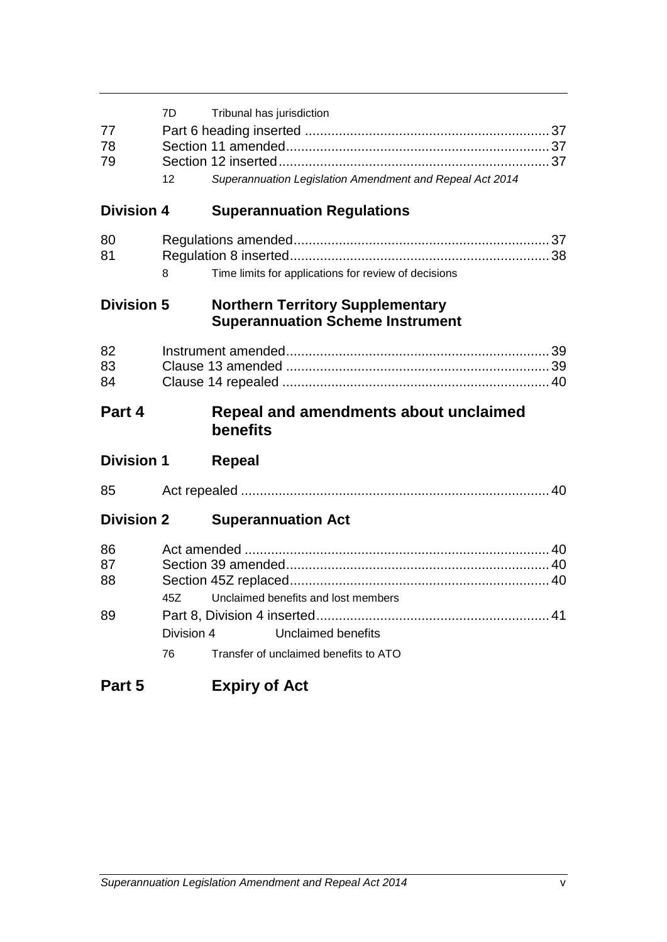| 77<br>78<br>79       | 7D.<br>12        | Tribunal has jurisdiction<br>Superannuation Legislation Amendment and Repeal Act 2014 |
|----------------------|------------------|---------------------------------------------------------------------------------------|
| <b>Division 4</b>    |                  | <b>Superannuation Regulations</b>                                                     |
| 80<br>81             | 8                | Time limits for applications for review of decisions                                  |
| <b>Division 5</b>    |                  | <b>Northern Territory Supplementary</b><br><b>Superannuation Scheme Instrument</b>    |
| 82<br>83<br>84       |                  |                                                                                       |
|                      |                  |                                                                                       |
| Part 4               |                  | <b>Repeal and amendments about unclaimed</b><br>benefits                              |
| <b>Division 1</b>    |                  | <b>Repeal</b>                                                                         |
| 85                   |                  |                                                                                       |
| <b>Division 2</b>    |                  | <b>Superannuation Act</b>                                                             |
| 86<br>87<br>88<br>89 | 45Z              | Unclaimed benefits and lost members                                                   |
|                      | Division 4<br>76 | <b>Unclaimed benefits</b><br>Transfer of unclaimed benefits to ATO                    |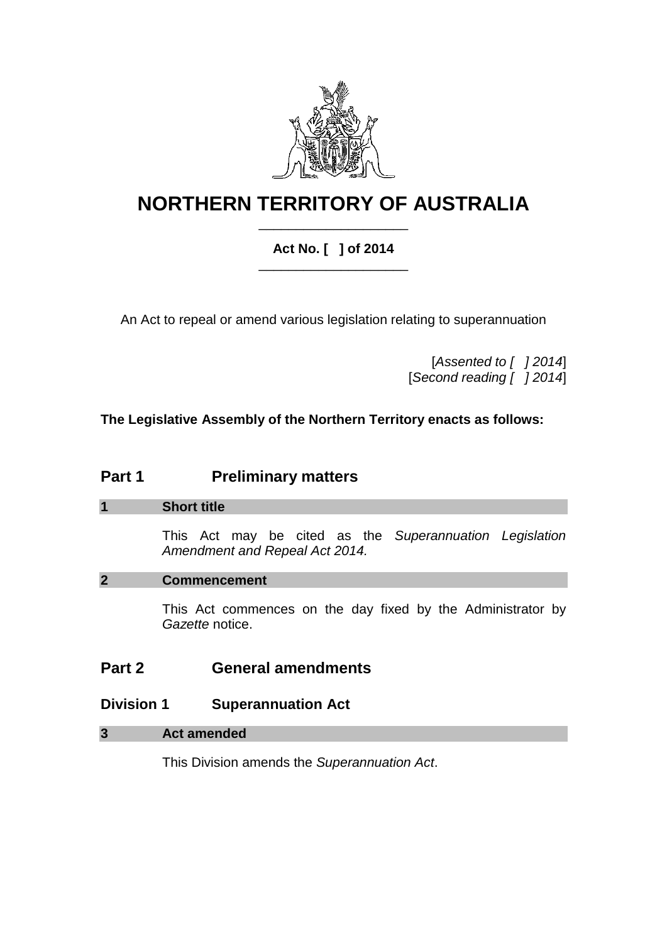

# **NORTHERN TERRITORY OF AUSTRALIA** \_\_\_\_\_\_\_\_\_\_\_\_\_\_\_\_\_\_\_\_

## **Act No. [ ] of 2014** \_\_\_\_\_\_\_\_\_\_\_\_\_\_\_\_\_\_\_\_

An Act to repeal or amend various legislation relating to superannuation

[*Assented to [ ] 2014*] [*Second reading [ ] 2014*]

**The Legislative Assembly of the Northern Territory enacts as follows:**

# **Part 1 Preliminary matters**

## **1 Short title**

This Act may be cited as the *Superannuation Legislation Amendment and Repeal Act 2014.*

## **2 Commencement**

This Act commences on the day fixed by the Administrator by *Gazette* notice.

# **Part 2 General amendments**

# **Division 1 Superannuation Act**

## **3 Act amended**

This Division amends the *Superannuation Act*.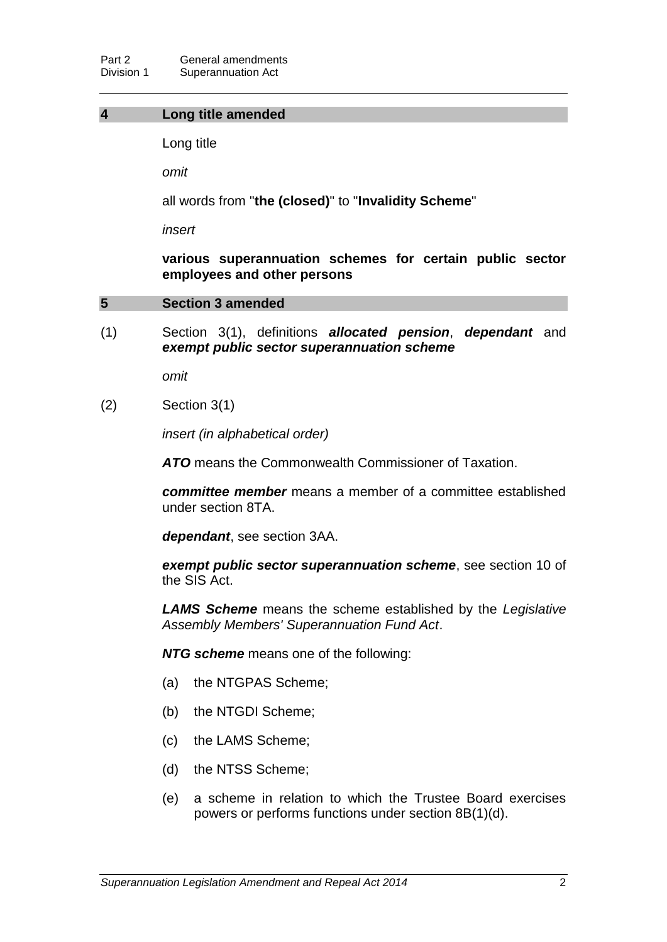#### **4 Long title amended**

Long title

*omit*

all words from "**the (closed)**" to "**Invalidity Scheme**"

*insert*

**various superannuation schemes for certain public sector employees and other persons**

#### **5 Section 3 amended**

(1) Section 3(1), definitions *allocated pension*, *dependant* and *exempt public sector superannuation scheme*

*omit*

(2) Section 3(1)

*insert (in alphabetical order)*

*ATO* means the Commonwealth Commissioner of Taxation.

*committee member* means a member of a committee established under section 8TA.

*dependant*, see section 3AA.

*exempt public sector superannuation scheme*, see section 10 of the SIS Act.

*LAMS Scheme* means the scheme established by the *Legislative Assembly Members' Superannuation Fund Act*.

*NTG scheme* means one of the following:

- (a) the NTGPAS Scheme;
- (b) the NTGDI Scheme;
- (c) the LAMS Scheme;
- (d) the NTSS Scheme;
- (e) a scheme in relation to which the Trustee Board exercises powers or performs functions under section 8B(1)(d).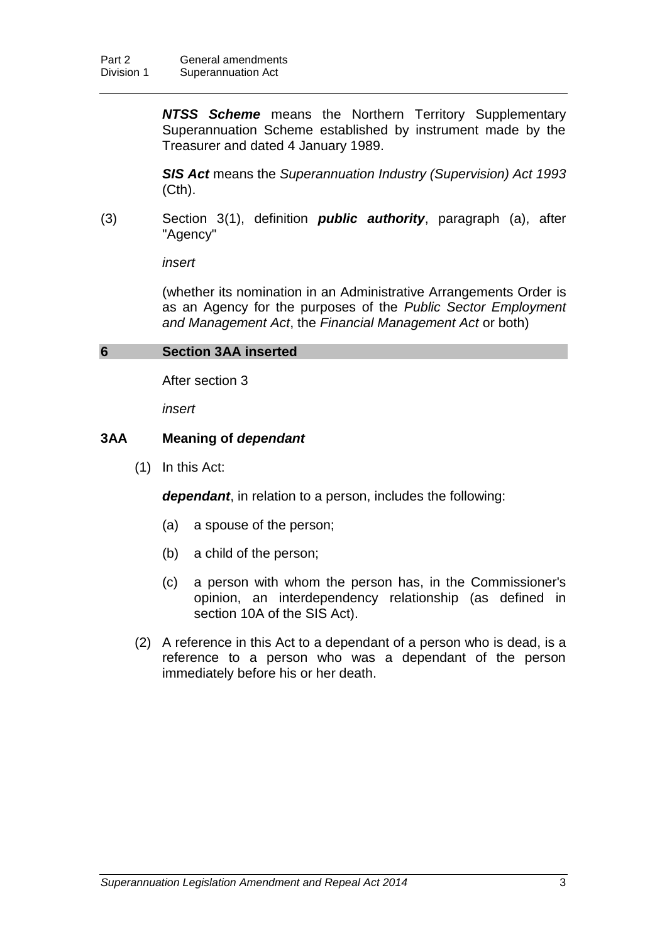*NTSS Scheme* means the Northern Territory Supplementary Superannuation Scheme established by instrument made by the Treasurer and dated 4 January 1989.

*SIS Act* means the *Superannuation Industry (Supervision) Act 1993* (Cth).

(3) Section 3(1), definition *public authority*, paragraph (a), after "Agency"

*insert*

(whether its nomination in an Administrative Arrangements Order is as an Agency for the purposes of the *Public Sector Employment and Management Act*, the *Financial Management Act* or both)

## **6 Section 3AA inserted**

After section 3

*insert*

#### **3AA Meaning of** *dependant*

(1) In this Act:

*dependant*, in relation to a person, includes the following:

- (a) a spouse of the person;
- (b) a child of the person;
- (c) a person with whom the person has, in the Commissioner's opinion, an interdependency relationship (as defined in section 10A of the SIS Act).
- (2) A reference in this Act to a dependant of a person who is dead, is a reference to a person who was a dependant of the person immediately before his or her death.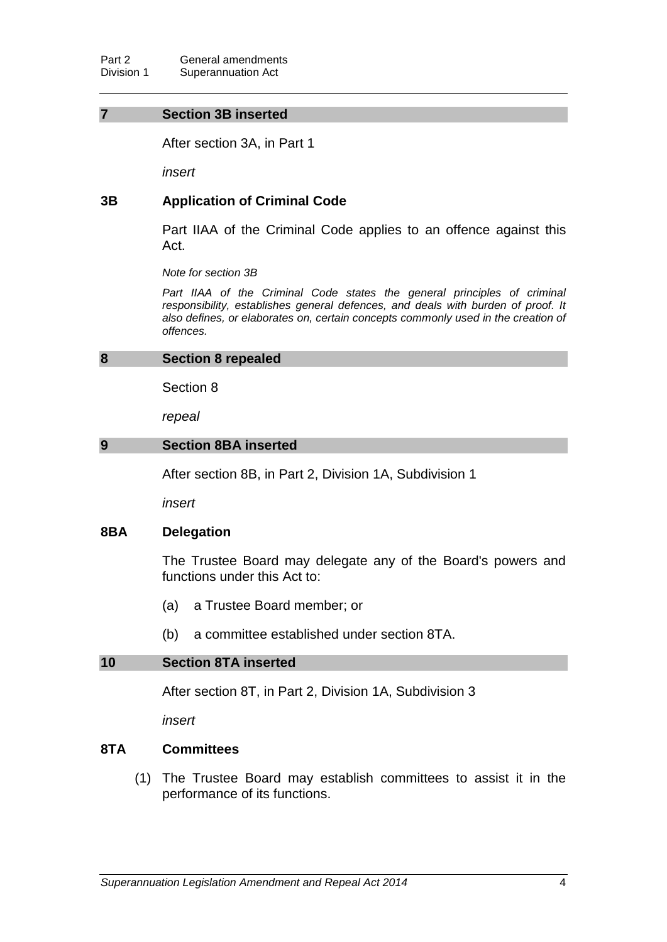#### **7 Section 3B inserted**

After section 3A, in Part 1

*insert*

## **3B Application of Criminal Code**

Part IIAA of the Criminal Code applies to an offence against this Act.

*Note for section 3B*

Part IIAA of the Criminal Code states the general principles of criminal *responsibility, establishes general defences, and deals with burden of proof. It also defines, or elaborates on, certain concepts commonly used in the creation of offences.*

#### **8 Section 8 repealed**

Section 8

*repeal*

#### **9 Section 8BA inserted**

After section 8B, in Part 2, Division 1A, Subdivision 1

*insert*

#### **8BA Delegation**

The Trustee Board may delegate any of the Board's powers and functions under this Act to:

- (a) a Trustee Board member; or
- (b) a committee established under section 8TA.

#### **10 Section 8TA inserted**

After section 8T, in Part 2, Division 1A, Subdivision 3

*insert*

#### **8TA Committees**

(1) The Trustee Board may establish committees to assist it in the performance of its functions.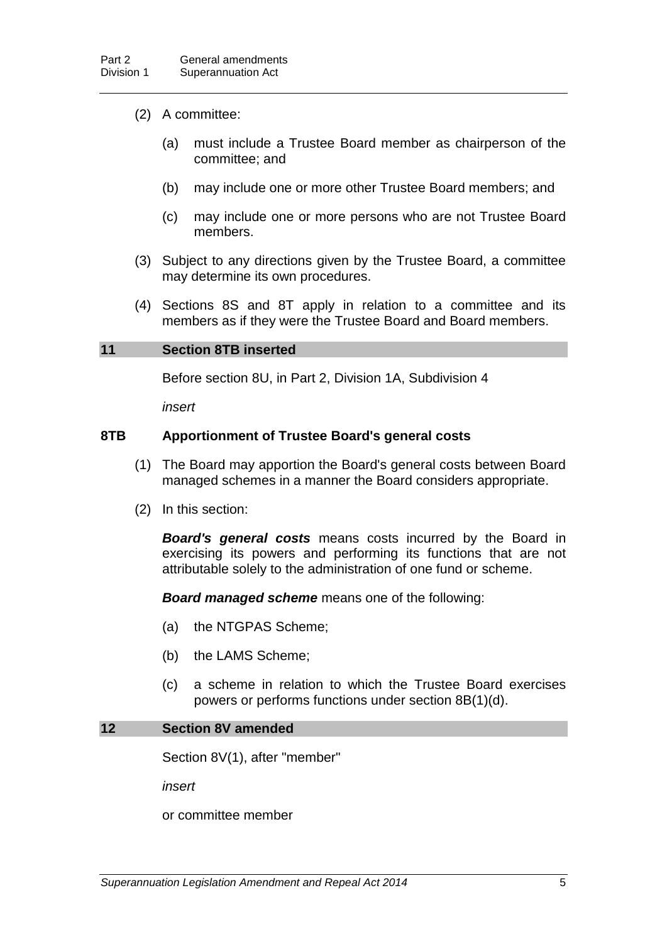## (2) A committee:

- (a) must include a Trustee Board member as chairperson of the committee; and
- (b) may include one or more other Trustee Board members; and
- (c) may include one or more persons who are not Trustee Board members.
- (3) Subject to any directions given by the Trustee Board, a committee may determine its own procedures.
- (4) Sections 8S and 8T apply in relation to a committee and its members as if they were the Trustee Board and Board members.

#### **11 Section 8TB inserted**

Before section 8U, in Part 2, Division 1A, Subdivision 4

*insert*

## **8TB Apportionment of Trustee Board's general costs**

- (1) The Board may apportion the Board's general costs between Board managed schemes in a manner the Board considers appropriate.
- (2) In this section:

*Board's general costs* means costs incurred by the Board in exercising its powers and performing its functions that are not attributable solely to the administration of one fund or scheme.

*Board managed scheme* means one of the following:

- (a) the NTGPAS Scheme;
- (b) the LAMS Scheme;
- (c) a scheme in relation to which the Trustee Board exercises powers or performs functions under section 8B(1)(d).

#### **12 Section 8V amended**

Section 8V(1), after "member"

*insert*

or committee member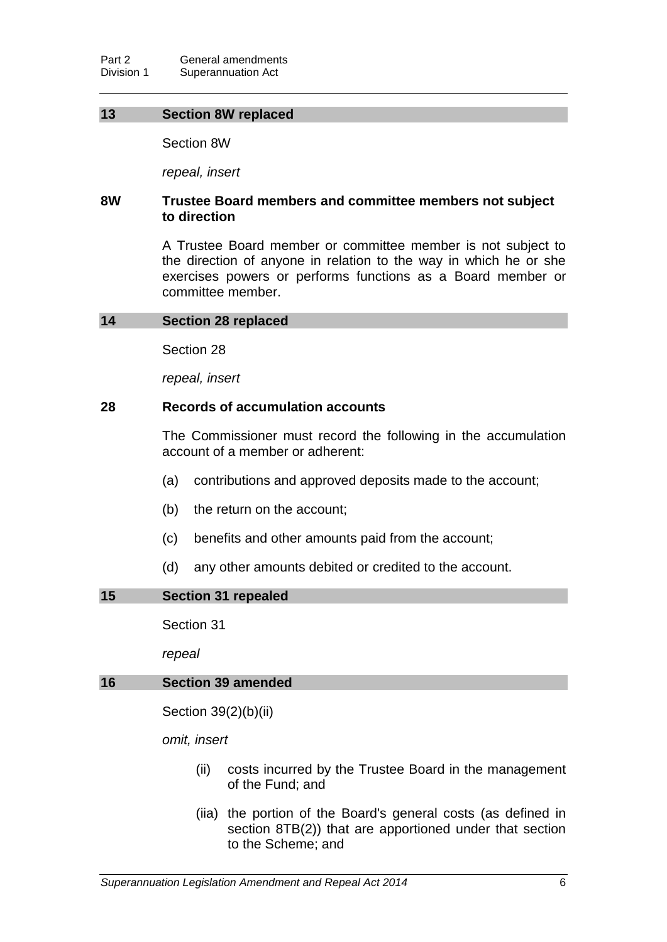## **13 Section 8W replaced**

Section 8W

*repeal, insert*

## **8W Trustee Board members and committee members not subject to direction**

A Trustee Board member or committee member is not subject to the direction of anyone in relation to the way in which he or she exercises powers or performs functions as a Board member or committee member.

#### **14 Section 28 replaced**

Section 28

*repeal, insert*

### **28 Records of accumulation accounts**

The Commissioner must record the following in the accumulation account of a member or adherent:

- (a) contributions and approved deposits made to the account;
- (b) the return on the account;
- (c) benefits and other amounts paid from the account;
- (d) any other amounts debited or credited to the account.

## **15 Section 31 repealed**

Section 31

*repeal*

#### **16 Section 39 amended**

Section 39(2)(b)(ii)

*omit, insert*

- (ii) costs incurred by the Trustee Board in the management of the Fund; and
- (iia) the portion of the Board's general costs (as defined in section 8TB(2)) that are apportioned under that section to the Scheme; and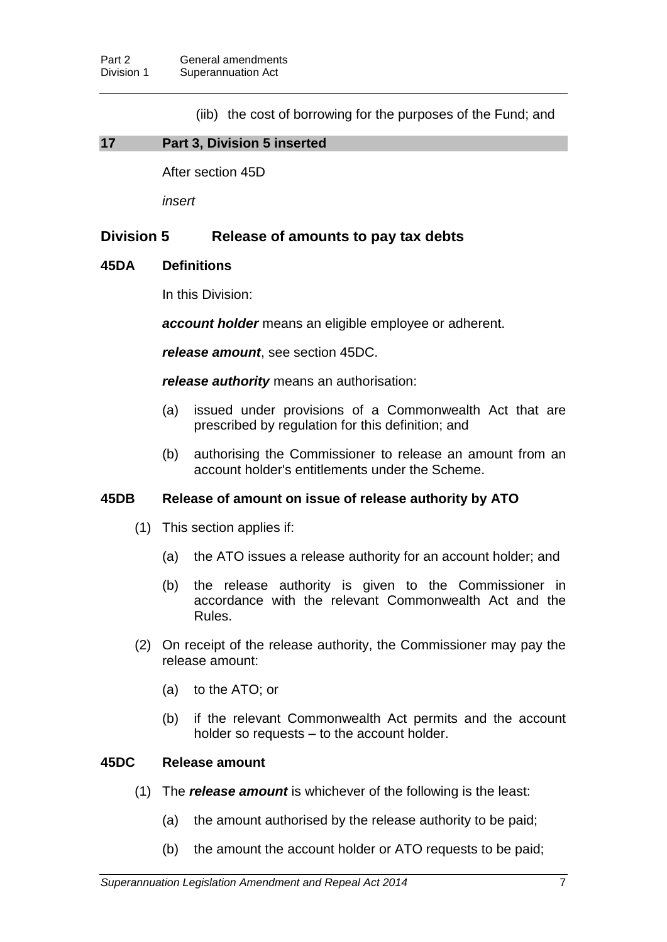(iib) the cost of borrowing for the purposes of the Fund; and

## **17 Part 3, Division 5 inserted**

After section 45D

*insert*

## **Division 5 Release of amounts to pay tax debts**

## **45DA Definitions**

In this Division:

*account holder* means an eligible employee or adherent.

*release amount*, see section 45DC.

*release authority* means an authorisation:

- (a) issued under provisions of a Commonwealth Act that are prescribed by regulation for this definition; and
- (b) authorising the Commissioner to release an amount from an account holder's entitlements under the Scheme.

## **45DB Release of amount on issue of release authority by ATO**

- (1) This section applies if:
	- (a) the ATO issues a release authority for an account holder; and
	- (b) the release authority is given to the Commissioner in accordance with the relevant Commonwealth Act and the Rules.
- (2) On receipt of the release authority, the Commissioner may pay the release amount:
	- (a) to the ATO; or
	- (b) if the relevant Commonwealth Act permits and the account holder so requests – to the account holder.

## **45DC Release amount**

- (1) The *release amount* is whichever of the following is the least:
	- (a) the amount authorised by the release authority to be paid;
	- (b) the amount the account holder or ATO requests to be paid;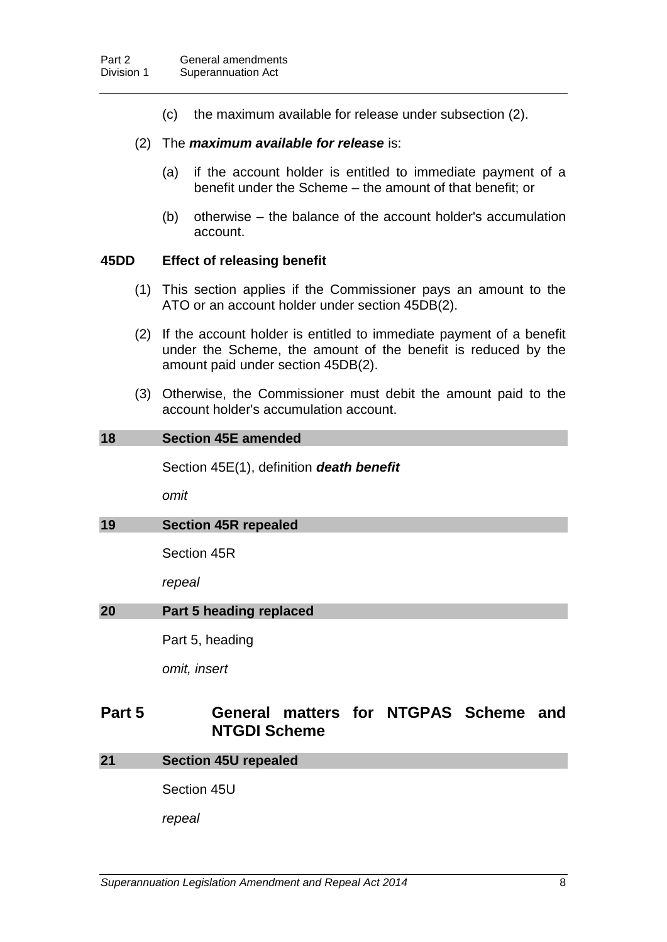(c) the maximum available for release under subsection (2).

#### (2) The *maximum available for release* is:

- (a) if the account holder is entitled to immediate payment of a benefit under the Scheme – the amount of that benefit; or
- (b) otherwise the balance of the account holder's accumulation account.

### **45DD Effect of releasing benefit**

- (1) This section applies if the Commissioner pays an amount to the ATO or an account holder under section 45DB(2).
- (2) If the account holder is entitled to immediate payment of a benefit under the Scheme, the amount of the benefit is reduced by the amount paid under section 45DB(2).
- (3) Otherwise, the Commissioner must debit the amount paid to the account holder's accumulation account.

## **18 Section 45E amended**

Section 45E(1), definition *death benefit*

*omit*

#### **19 Section 45R repealed**

Section 45R

*repeal*

#### **20 Part 5 heading replaced**

Part 5, heading

*omit, insert*

# **Part 5 General matters for NTGPAS Scheme and NTGDI Scheme**

#### **21 Section 45U repealed**

Section 45U

*repeal*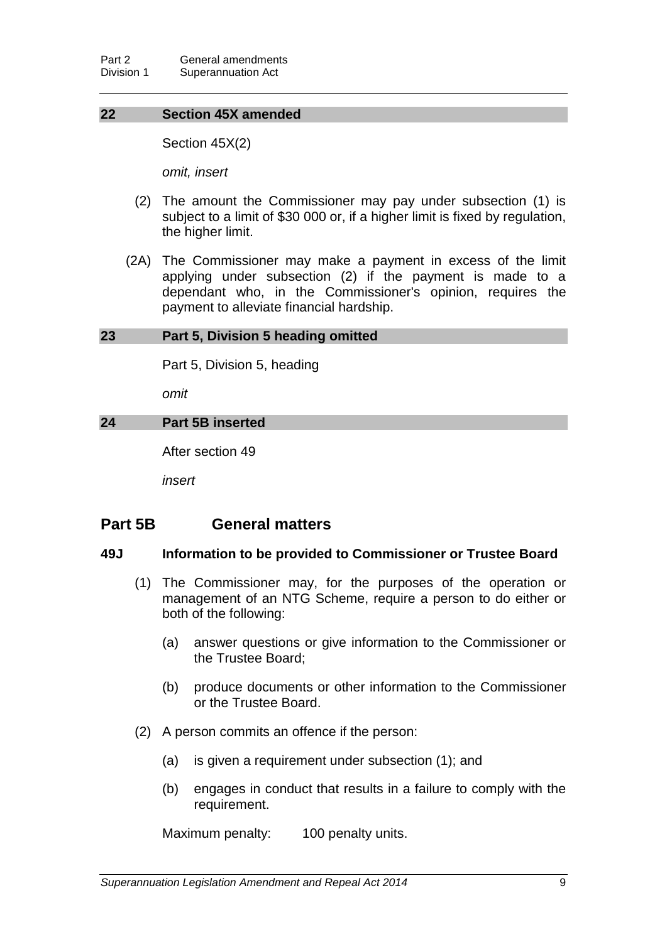## **22 Section 45X amended**

Section 45X(2)

*omit, insert*

- (2) The amount the Commissioner may pay under subsection (1) is subject to a limit of \$30 000 or, if a higher limit is fixed by regulation, the higher limit.
- (2A) The Commissioner may make a payment in excess of the limit applying under subsection (2) if the payment is made to a dependant who, in the Commissioner's opinion, requires the payment to alleviate financial hardship.

#### **23 Part 5, Division 5 heading omitted**

Part 5, Division 5, heading

*omit*

## **24 Part 5B inserted**

After section 49

*insert*

## **Part 5B General matters**

#### **49J Information to be provided to Commissioner or Trustee Board**

- (1) The Commissioner may, for the purposes of the operation or management of an NTG Scheme, require a person to do either or both of the following:
	- (a) answer questions or give information to the Commissioner or the Trustee Board;
	- (b) produce documents or other information to the Commissioner or the Trustee Board.
- (2) A person commits an offence if the person:
	- (a) is given a requirement under subsection (1); and
	- (b) engages in conduct that results in a failure to comply with the requirement.

Maximum penalty: 100 penalty units.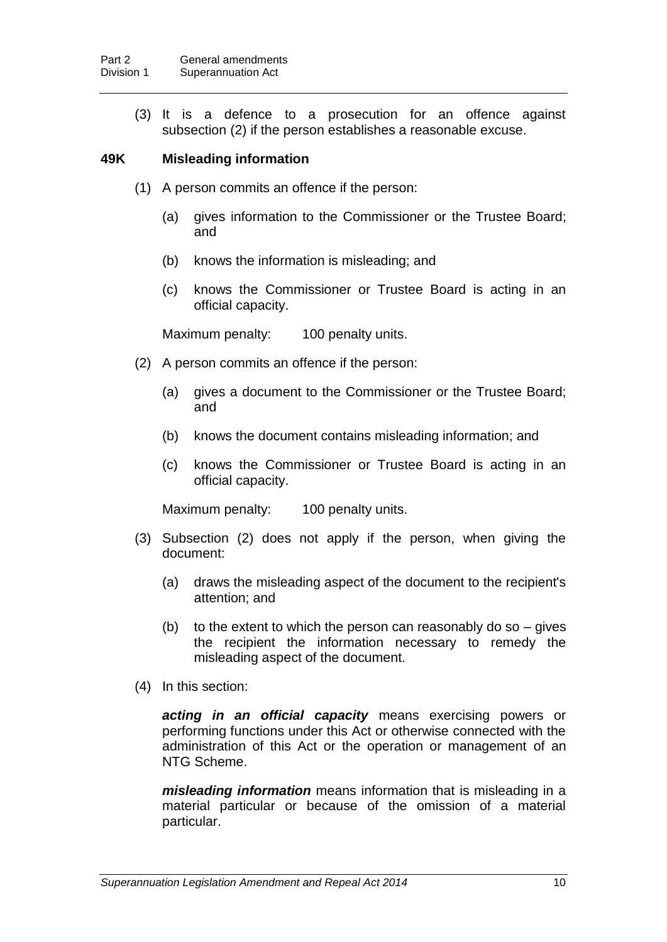(3) It is a defence to a prosecution for an offence against subsection (2) if the person establishes a reasonable excuse.

## **49K Misleading information**

- (1) A person commits an offence if the person:
	- (a) gives information to the Commissioner or the Trustee Board; and
	- (b) knows the information is misleading; and
	- (c) knows the Commissioner or Trustee Board is acting in an official capacity.

Maximum penalty: 100 penalty units.

- (2) A person commits an offence if the person:
	- (a) gives a document to the Commissioner or the Trustee Board; and
	- (b) knows the document contains misleading information; and
	- (c) knows the Commissioner or Trustee Board is acting in an official capacity.

Maximum penalty: 100 penalty units.

- (3) Subsection (2) does not apply if the person, when giving the document:
	- (a) draws the misleading aspect of the document to the recipient's attention; and
	- (b) to the extent to which the person can reasonably do so  $-$  gives the recipient the information necessary to remedy the misleading aspect of the document.
- (4) In this section:

*acting in an official capacity* means exercising powers or performing functions under this Act or otherwise connected with the administration of this Act or the operation or management of an NTG Scheme.

*misleading information* means information that is misleading in a material particular or because of the omission of a material particular.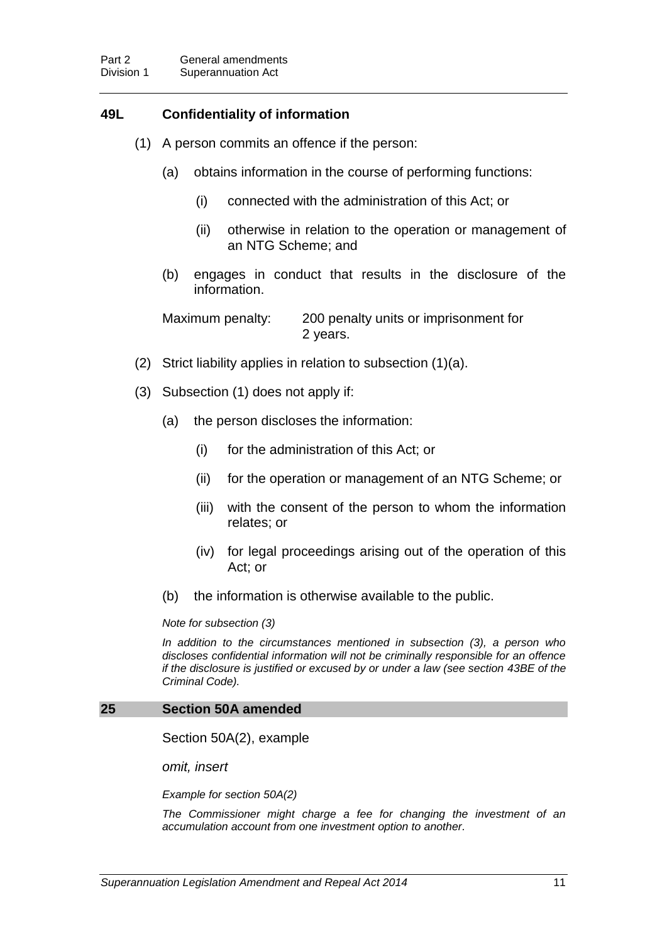## **49L Confidentiality of information**

- (1) A person commits an offence if the person:
	- (a) obtains information in the course of performing functions:
		- (i) connected with the administration of this Act; or
		- (ii) otherwise in relation to the operation or management of an NTG Scheme; and
	- (b) engages in conduct that results in the disclosure of the information.

Maximum penalty: 200 penalty units or imprisonment for 2 years.

- (2) Strict liability applies in relation to subsection (1)(a).
- (3) Subsection (1) does not apply if:
	- (a) the person discloses the information:
		- (i) for the administration of this Act; or
		- (ii) for the operation or management of an NTG Scheme; or
		- (iii) with the consent of the person to whom the information relates; or
		- (iv) for legal proceedings arising out of the operation of this Act; or
	- (b) the information is otherwise available to the public.

*Note for subsection (3)*

*In addition to the circumstances mentioned in subsection (3), a person who discloses confidential information will not be criminally responsible for an offence if the disclosure is justified or excused by or under a law (see section 43BE of the Criminal Code).*

#### **25 Section 50A amended**

Section 50A(2), example

*omit, insert*

*Example for section 50A(2)*

*The Commissioner might charge a fee for changing the investment of an accumulation account from one investment option to another.*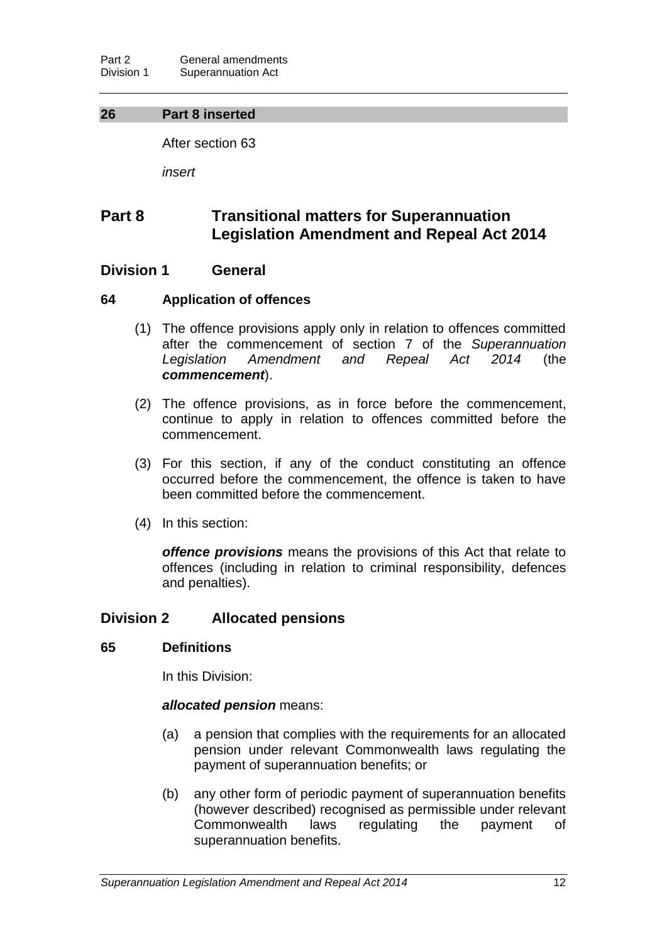## **26 Part 8 inserted**

After section 63

*insert*

# **Part 8 Transitional matters for Superannuation Legislation Amendment and Repeal Act 2014**

## **Division 1 General**

## **64 Application of offences**

- (1) The offence provisions apply only in relation to offences committed after the commencement of section 7 of the *Superannuation Legislation Amendment and Repeal Act 2014* (the *commencement*).
- (2) The offence provisions, as in force before the commencement, continue to apply in relation to offences committed before the commencement.
- (3) For this section, if any of the conduct constituting an offence occurred before the commencement, the offence is taken to have been committed before the commencement.
- (4) In this section:

*offence provisions* means the provisions of this Act that relate to offences (including in relation to criminal responsibility, defences and penalties).

## **Division 2 Allocated pensions**

#### **65 Definitions**

In this Division:

## *allocated pension* means:

- (a) a pension that complies with the requirements for an allocated pension under relevant Commonwealth laws regulating the payment of superannuation benefits; or
- (b) any other form of periodic payment of superannuation benefits (however described) recognised as permissible under relevant Commonwealth laws regulating the payment of superannuation benefits.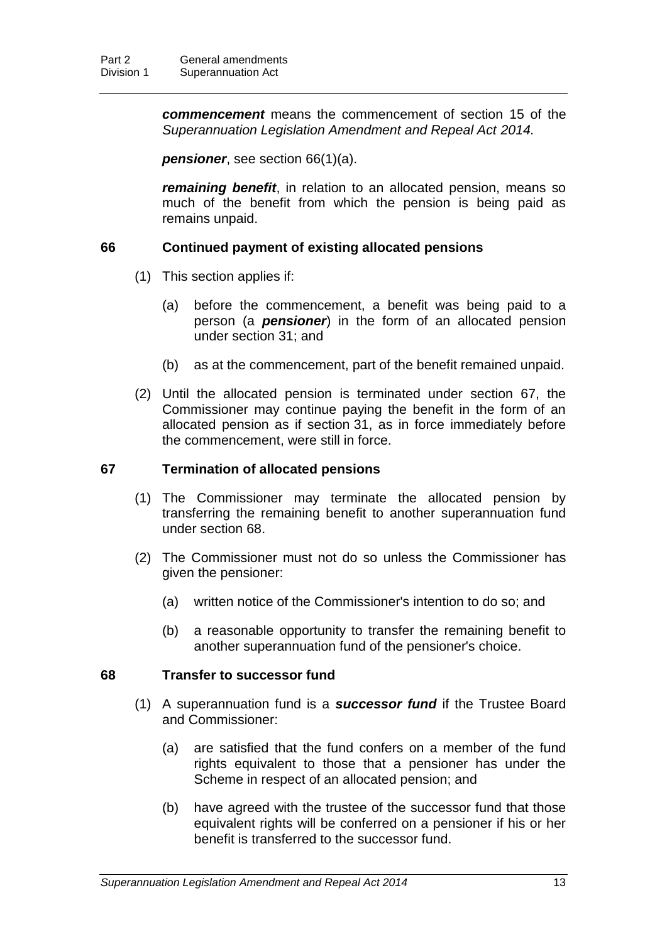*commencement* means the commencement of section 15 of the *Superannuation Legislation Amendment and Repeal Act 2014.*

*pensioner*, see section 66(1)(a).

*remaining benefit*, in relation to an allocated pension, means so much of the benefit from which the pension is being paid as remains unpaid.

## **66 Continued payment of existing allocated pensions**

- (1) This section applies if:
	- (a) before the commencement, a benefit was being paid to a person (a *pensioner*) in the form of an allocated pension under section 31; and
	- (b) as at the commencement, part of the benefit remained unpaid.
- (2) Until the allocated pension is terminated under section 67, the Commissioner may continue paying the benefit in the form of an allocated pension as if section 31, as in force immediately before the commencement, were still in force.

## **67 Termination of allocated pensions**

- (1) The Commissioner may terminate the allocated pension by transferring the remaining benefit to another superannuation fund under section 68.
- (2) The Commissioner must not do so unless the Commissioner has given the pensioner:
	- (a) written notice of the Commissioner's intention to do so; and
	- (b) a reasonable opportunity to transfer the remaining benefit to another superannuation fund of the pensioner's choice.

## **68 Transfer to successor fund**

- (1) A superannuation fund is a *successor fund* if the Trustee Board and Commissioner:
	- (a) are satisfied that the fund confers on a member of the fund rights equivalent to those that a pensioner has under the Scheme in respect of an allocated pension; and
	- (b) have agreed with the trustee of the successor fund that those equivalent rights will be conferred on a pensioner if his or her benefit is transferred to the successor fund.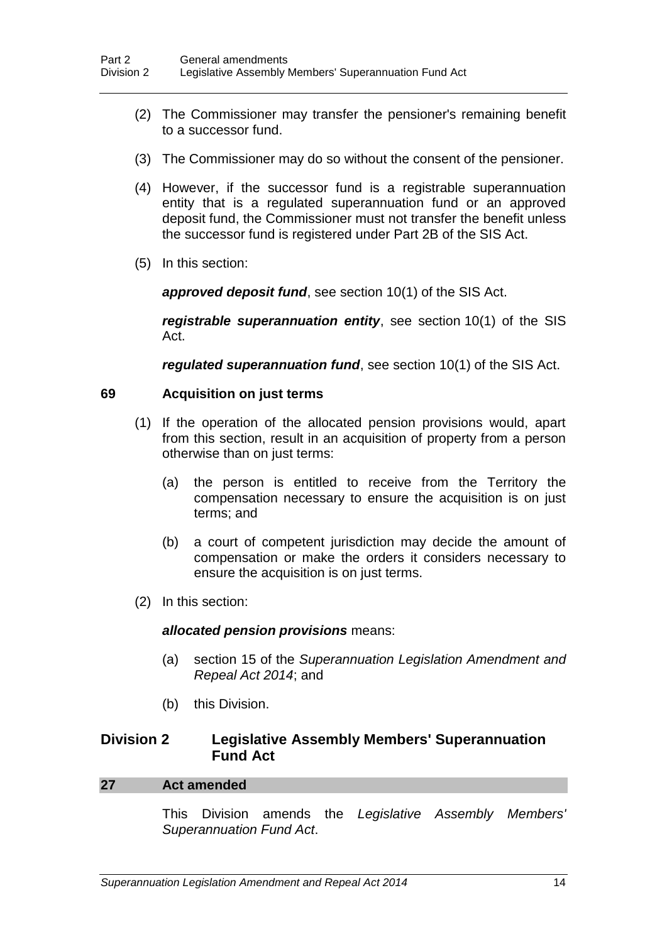- (2) The Commissioner may transfer the pensioner's remaining benefit to a successor fund.
- (3) The Commissioner may do so without the consent of the pensioner.
- (4) However, if the successor fund is a registrable superannuation entity that is a regulated superannuation fund or an approved deposit fund, the Commissioner must not transfer the benefit unless the successor fund is registered under Part 2B of the SIS Act.
- (5) In this section:

*approved deposit fund*, see section 10(1) of the SIS Act.

*registrable superannuation entity*, see section 10(1) of the SIS Act.

*regulated superannuation fund*, see section 10(1) of the SIS Act.

### **69 Acquisition on just terms**

- (1) If the operation of the allocated pension provisions would, apart from this section, result in an acquisition of property from a person otherwise than on just terms:
	- (a) the person is entitled to receive from the Territory the compensation necessary to ensure the acquisition is on just terms; and
	- (b) a court of competent jurisdiction may decide the amount of compensation or make the orders it considers necessary to ensure the acquisition is on just terms.
- (2) In this section:

#### *allocated pension provisions* means:

- (a) section 15 of the *Superannuation Legislation Amendment and Repeal Act 2014*; and
- (b) this Division.

## **Division 2 Legislative Assembly Members' Superannuation Fund Act**

#### **27 Act amended**

This Division amends the *Legislative Assembly Members' Superannuation Fund Act*.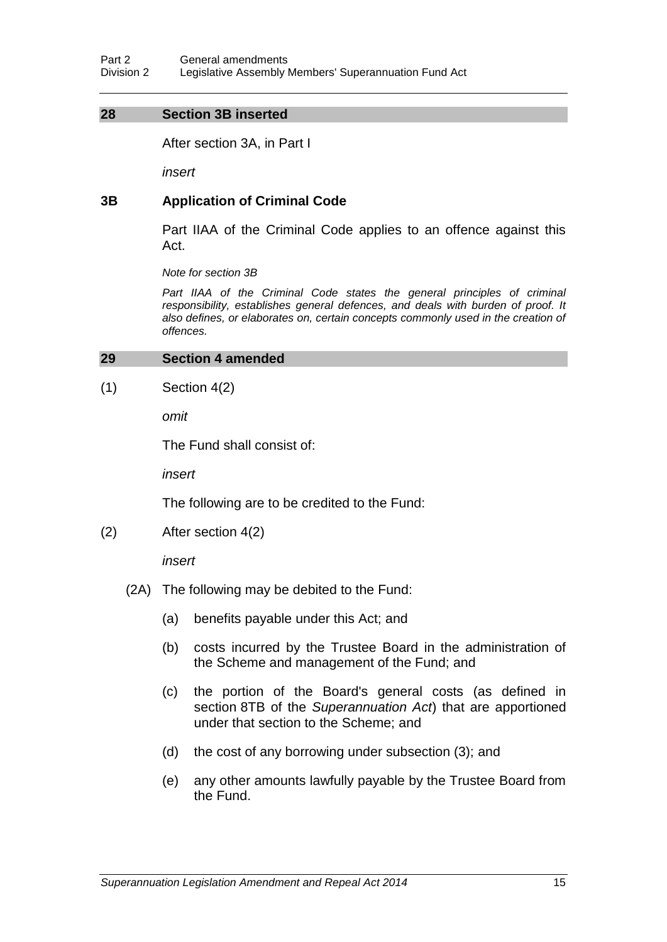## **28 Section 3B inserted**

After section 3A, in Part I

*insert*

## **3B Application of Criminal Code**

Part IIAA of the Criminal Code applies to an offence against this Act.

*Note for section 3B*

Part IIAA of the Criminal Code states the general principles of criminal *responsibility, establishes general defences, and deals with burden of proof. It also defines, or elaborates on, certain concepts commonly used in the creation of offences.*

#### **29 Section 4 amended**

 $(1)$  Section 4(2)

*omit*

The Fund shall consist of:

*insert*

The following are to be credited to the Fund:

(2) After section 4(2)

*insert*

- (2A) The following may be debited to the Fund:
	- (a) benefits payable under this Act; and
	- (b) costs incurred by the Trustee Board in the administration of the Scheme and management of the Fund; and
	- (c) the portion of the Board's general costs (as defined in section 8TB of the *Superannuation Act*) that are apportioned under that section to the Scheme; and
	- (d) the cost of any borrowing under subsection (3); and
	- (e) any other amounts lawfully payable by the Trustee Board from the Fund.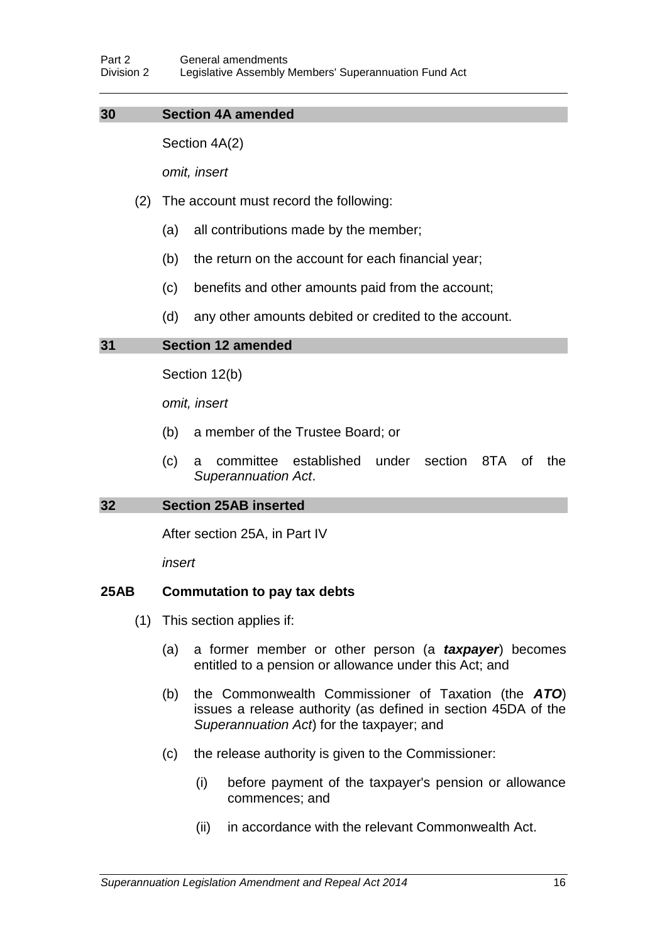## **30 Section 4A amended**

Section 4A(2)

*omit, insert*

- (2) The account must record the following:
	- (a) all contributions made by the member;
	- (b) the return on the account for each financial year;
	- (c) benefits and other amounts paid from the account;
	- (d) any other amounts debited or credited to the account.

## **31 Section 12 amended**

Section 12(b)

*omit, insert*

- (b) a member of the Trustee Board; or
- (c) a committee established under section 8TA of the *Superannuation Act*.

## **32 Section 25AB inserted**

After section 25A, in Part IV

*insert*

## **25AB Commutation to pay tax debts**

- (1) This section applies if:
	- (a) a former member or other person (a *taxpayer*) becomes entitled to a pension or allowance under this Act; and
	- (b) the Commonwealth Commissioner of Taxation (the *ATO*) issues a release authority (as defined in section 45DA of the *Superannuation Act*) for the taxpayer; and
	- (c) the release authority is given to the Commissioner:
		- (i) before payment of the taxpayer's pension or allowance commences; and
		- (ii) in accordance with the relevant Commonwealth Act.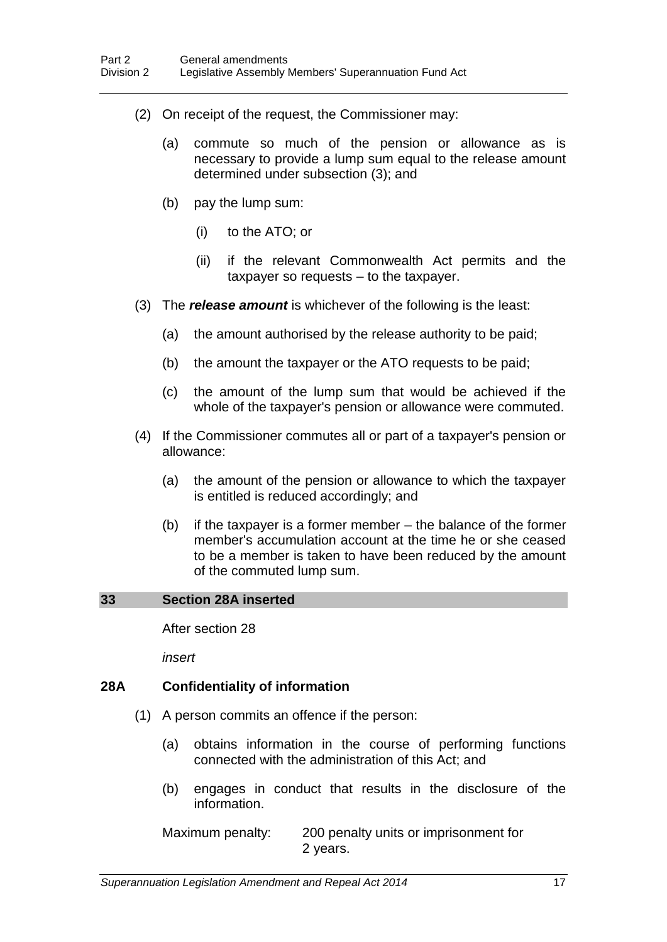- (2) On receipt of the request, the Commissioner may:
	- (a) commute so much of the pension or allowance as is necessary to provide a lump sum equal to the release amount determined under subsection (3); and
	- (b) pay the lump sum:
		- (i) to the ATO; or
		- (ii) if the relevant Commonwealth Act permits and the taxpayer so requests – to the taxpayer.
- (3) The *release amount* is whichever of the following is the least:
	- (a) the amount authorised by the release authority to be paid;
	- (b) the amount the taxpayer or the ATO requests to be paid;
	- (c) the amount of the lump sum that would be achieved if the whole of the taxpayer's pension or allowance were commuted.
- (4) If the Commissioner commutes all or part of a taxpayer's pension or allowance:
	- (a) the amount of the pension or allowance to which the taxpayer is entitled is reduced accordingly; and
	- (b) if the taxpayer is a former member the balance of the former member's accumulation account at the time he or she ceased to be a member is taken to have been reduced by the amount of the commuted lump sum.

#### **33 Section 28A inserted**

After section 28

*insert*

#### **28A Confidentiality of information**

- (1) A person commits an offence if the person:
	- (a) obtains information in the course of performing functions connected with the administration of this Act; and
	- (b) engages in conduct that results in the disclosure of the information.

Maximum penalty: 200 penalty units or imprisonment for 2 years.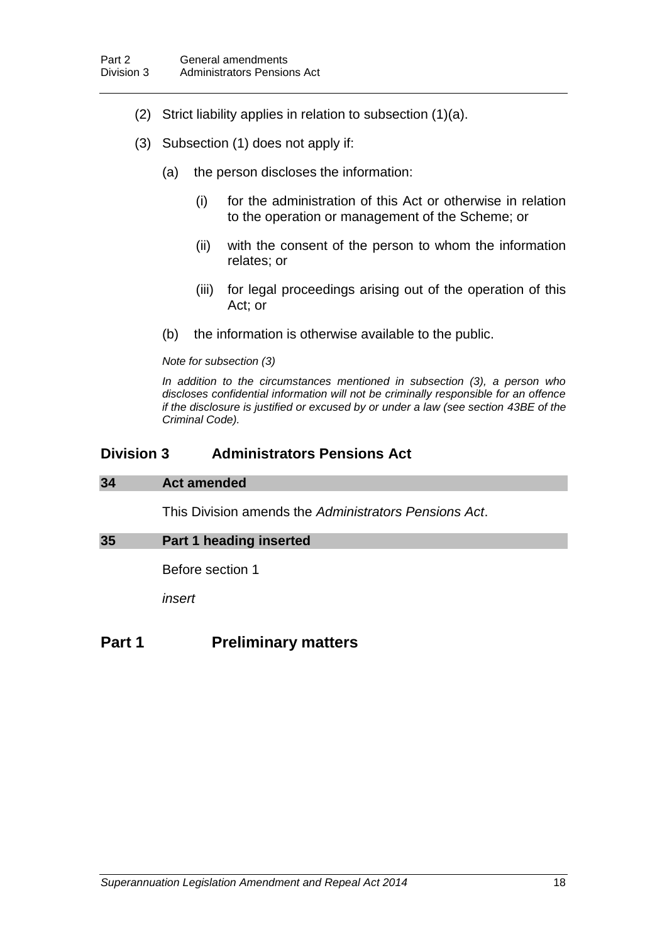- (2) Strict liability applies in relation to subsection (1)(a).
- (3) Subsection (1) does not apply if:
	- (a) the person discloses the information:
		- (i) for the administration of this Act or otherwise in relation to the operation or management of the Scheme; or
		- (ii) with the consent of the person to whom the information relates; or
		- (iii) for legal proceedings arising out of the operation of this Act; or
	- (b) the information is otherwise available to the public.

#### *Note for subsection (3)*

*In addition to the circumstances mentioned in subsection (3), a person who discloses confidential information will not be criminally responsible for an offence if the disclosure is justified or excused by or under a law (see section 43BE of the Criminal Code).*

## **Division 3 Administrators Pensions Act**

#### **34 Act amended**

This Division amends the *Administrators Pensions Act*.

#### **35 Part 1 heading inserted**

Before section 1

*insert*

## **Part 1 Preliminary matters**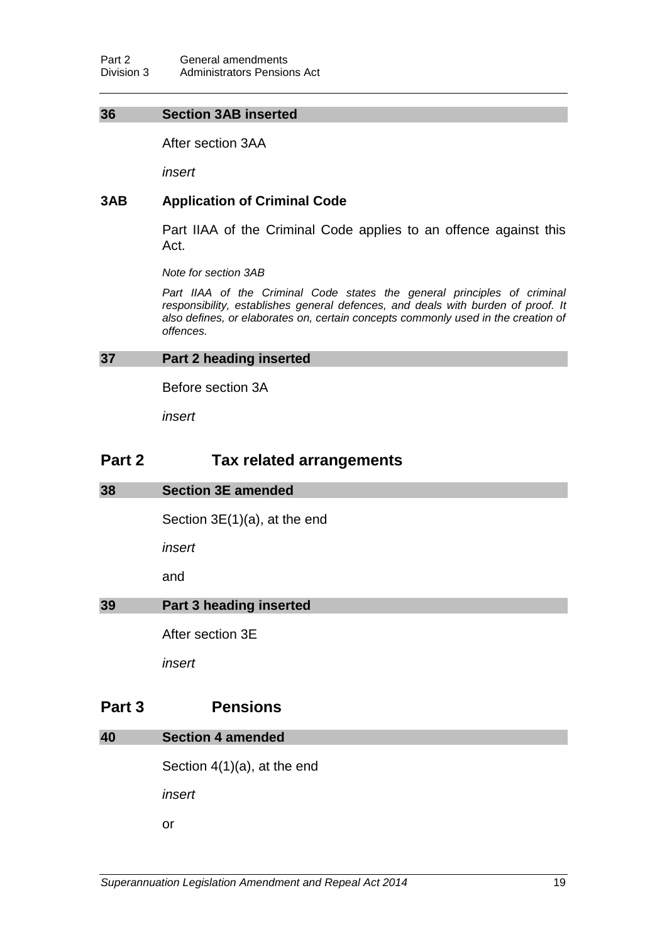#### **36 Section 3AB inserted**

After section 3AA

*insert*

## **3AB Application of Criminal Code**

Part IIAA of the Criminal Code applies to an offence against this Act.

*Note for section 3AB*

Part IIAA of the Criminal Code states the general principles of criminal *responsibility, establishes general defences, and deals with burden of proof. It also defines, or elaborates on, certain concepts commonly used in the creation of offences.*

#### **37 Part 2 heading inserted**

Before section 3A

*insert*

# **Part 2 Tax related arrangements**

#### **38 Section 3E amended**

Section 3E(1)(a), at the end

*insert*

and

#### **39 Part 3 heading inserted**

After section 3E

*insert*

## **Part 3 Pensions**

#### **40 Section 4 amended**

Section 4(1)(a), at the end

*insert*

or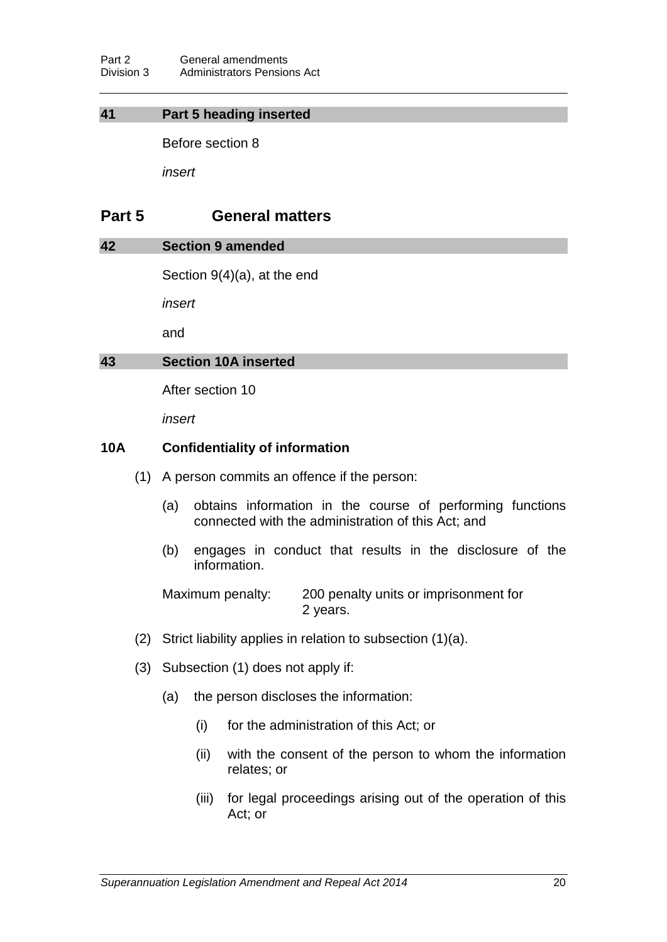Part 2 General amendments<br>Division 3 Administrators Pension Administrators Pensions Act

### **41 Part 5 heading inserted**

Before section 8

*insert*

# **Part 5 General matters**

#### **42 Section 9 amended**

Section 9(4)(a), at the end

*insert*

and

#### **43 Section 10A inserted**

After section 10

*insert*

## **10A Confidentiality of information**

- (1) A person commits an offence if the person:
	- (a) obtains information in the course of performing functions connected with the administration of this Act; and
	- (b) engages in conduct that results in the disclosure of the information.

Maximum penalty: 200 penalty units or imprisonment for 2 years.

- (2) Strict liability applies in relation to subsection (1)(a).
- (3) Subsection (1) does not apply if:
	- (a) the person discloses the information:
		- (i) for the administration of this Act; or
		- (ii) with the consent of the person to whom the information relates; or
		- (iii) for legal proceedings arising out of the operation of this Act; or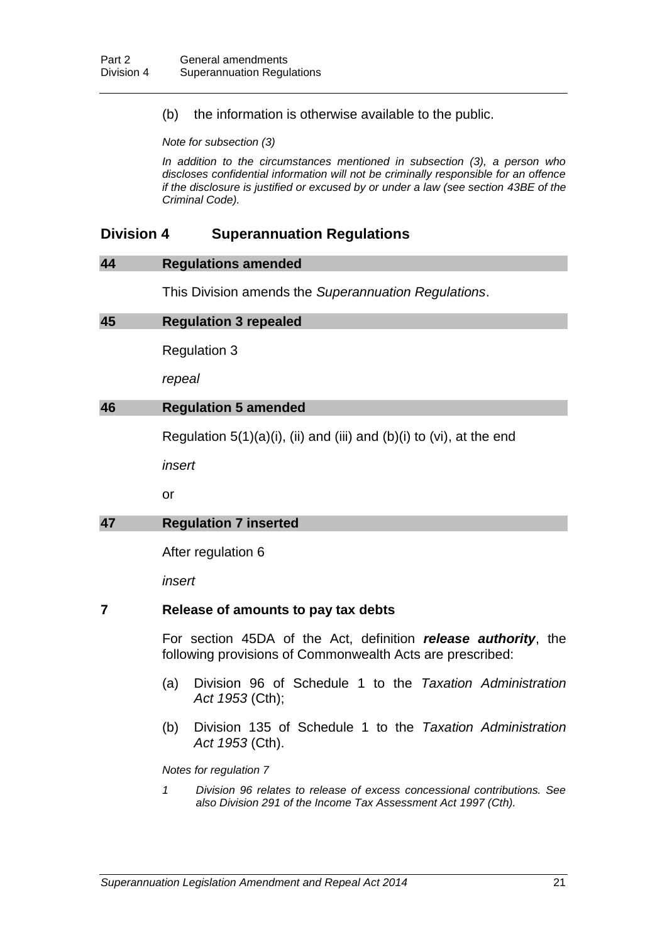(b) the information is otherwise available to the public.

*Note for subsection (3)*

*In addition to the circumstances mentioned in subsection (3), a person who discloses confidential information will not be criminally responsible for an offence if the disclosure is justified or excused by or under a law (see section 43BE of the Criminal Code).*

## **Division 4 Superannuation Regulations**

#### **44 Regulations amended**

This Division amends the *Superannuation Regulations*.

#### **45 Regulation 3 repealed**

Regulation 3

*repeal*

#### **46 Regulation 5 amended**

Regulation  $5(1)(a)(i)$ , (ii) and (iii) and (b)(i) to (vi), at the end

*insert*

or

## **47 Regulation 7 inserted**

After regulation 6

*insert*

#### **7 Release of amounts to pay tax debts**

For section 45DA of the Act, definition *release authority*, the following provisions of Commonwealth Acts are prescribed:

- (a) Division 96 of Schedule 1 to the *Taxation Administration Act 1953* (Cth);
- (b) Division 135 of Schedule 1 to the *Taxation Administration Act 1953* (Cth).

*Notes for regulation 7*

*1 Division 96 relates to release of excess concessional contributions. See also Division 291 of the Income Tax Assessment Act 1997 (Cth).*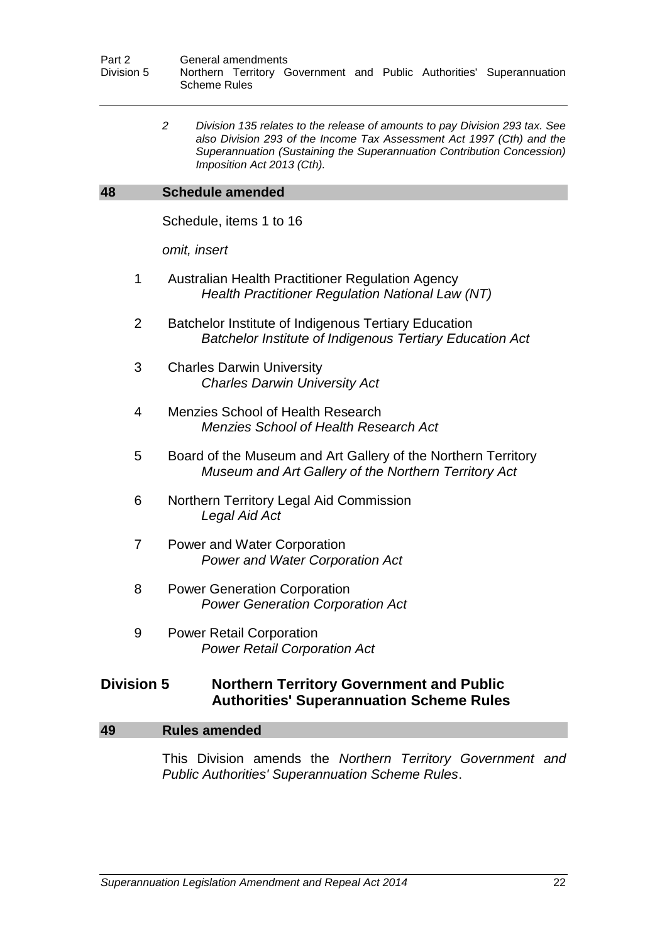*2 Division 135 relates to the release of amounts to pay Division 293 tax. See also Division 293 of the Income Tax Assessment Act 1997 (Cth) and the Superannuation (Sustaining the Superannuation Contribution Concession) Imposition Act 2013 (Cth).*

#### **48 Schedule amended**

Schedule, items 1 to 16

*omit, insert*

- 1 Australian Health Practitioner Regulation Agency *Health Practitioner Regulation National Law (NT)*
- 2 Batchelor Institute of Indigenous Tertiary Education *Batchelor Institute of Indigenous Tertiary Education Act*
- 3 Charles Darwin University *Charles Darwin University Act*
- 4 Menzies School of Health Research *Menzies School of Health Research Act*
- 5 Board of the Museum and Art Gallery of the Northern Territory *Museum and Art Gallery of the Northern Territory Act*
- 6 Northern Territory Legal Aid Commission *Legal Aid Act*
- 7 Power and Water Corporation *Power and Water Corporation Act*
- 8 Power Generation Corporation *Power Generation Corporation Act*
- 9 Power Retail Corporation *Power Retail Corporation Act*

## **Division 5 Northern Territory Government and Public Authorities' Superannuation Scheme Rules**

#### **49 Rules amended**

This Division amends the *Northern Territory Government and Public Authorities' Superannuation Scheme Rules*.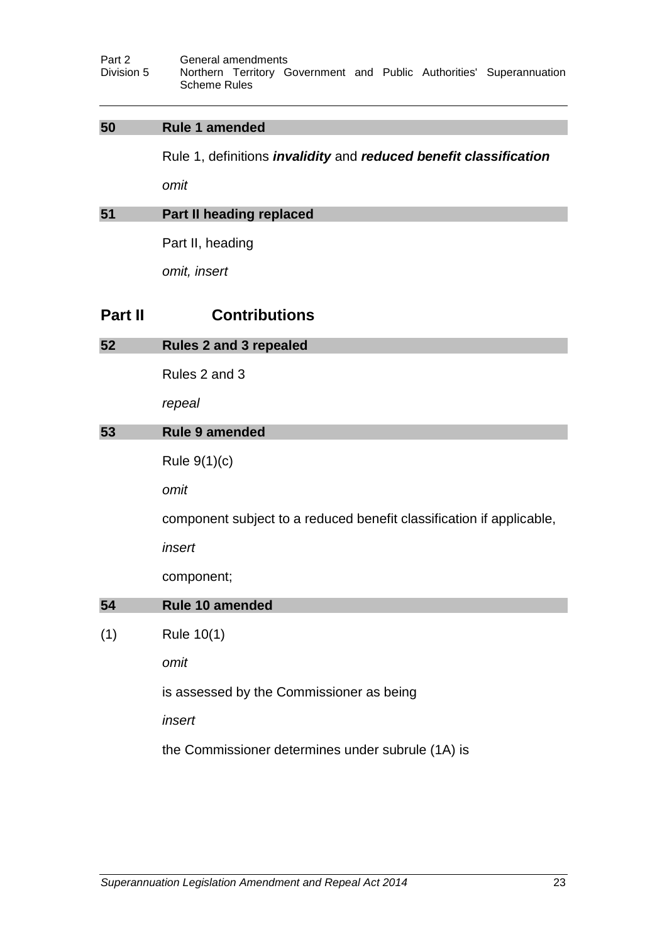## **50 Rule 1 amended**

Rule 1, definitions *invalidity* and *reduced benefit classification*

*omit*

## **51 Part II heading replaced**

Part II, heading

*omit, insert*

# **Part II Contributions**

| 52  | <b>Rules 2 and 3 repealed</b>                                        |  |  |  |
|-----|----------------------------------------------------------------------|--|--|--|
|     | Rules 2 and 3                                                        |  |  |  |
|     | repeal                                                               |  |  |  |
| 53  | <b>Rule 9 amended</b>                                                |  |  |  |
|     | Rule $9(1)(c)$                                                       |  |  |  |
|     | omit                                                                 |  |  |  |
|     | component subject to a reduced benefit classification if applicable, |  |  |  |
|     | insert                                                               |  |  |  |
|     | component;                                                           |  |  |  |
| 54  | Rule 10 amended                                                      |  |  |  |
| (1) | Rule 10(1)                                                           |  |  |  |
|     | omit                                                                 |  |  |  |
|     | is assessed by the Commissioner as being                             |  |  |  |
|     | insert                                                               |  |  |  |
|     | the Commissioner determines under subrule (1A) is                    |  |  |  |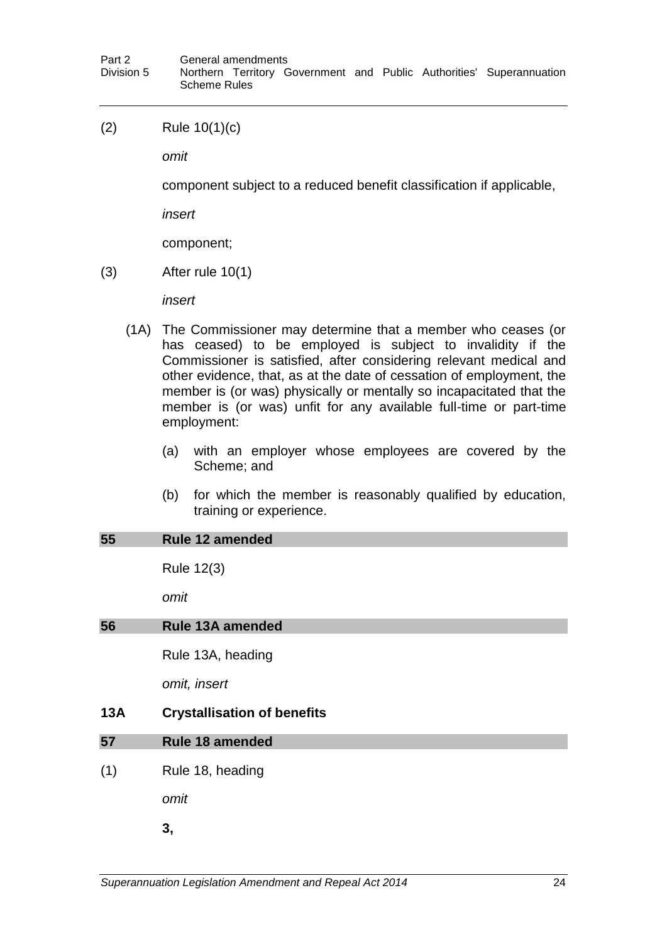(2) Rule 10(1)(c)

*omit*

component subject to a reduced benefit classification if applicable,

*insert*

component;

(3) After rule 10(1)

*insert*

- (1A) The Commissioner may determine that a member who ceases (or has ceased) to be employed is subject to invalidity if the Commissioner is satisfied, after considering relevant medical and other evidence, that, as at the date of cessation of employment, the member is (or was) physically or mentally so incapacitated that the member is (or was) unfit for any available full-time or part-time employment:
	- (a) with an employer whose employees are covered by the Scheme; and
	- (b) for which the member is reasonably qualified by education, training or experience.

#### **55 Rule 12 amended**

Rule 12(3)

*omit*

## **56 Rule 13A amended**

Rule 13A, heading

*omit, insert*

## **13A Crystallisation of benefits**

## **57 Rule 18 amended**

(1) Rule 18, heading

*omit*

**3,**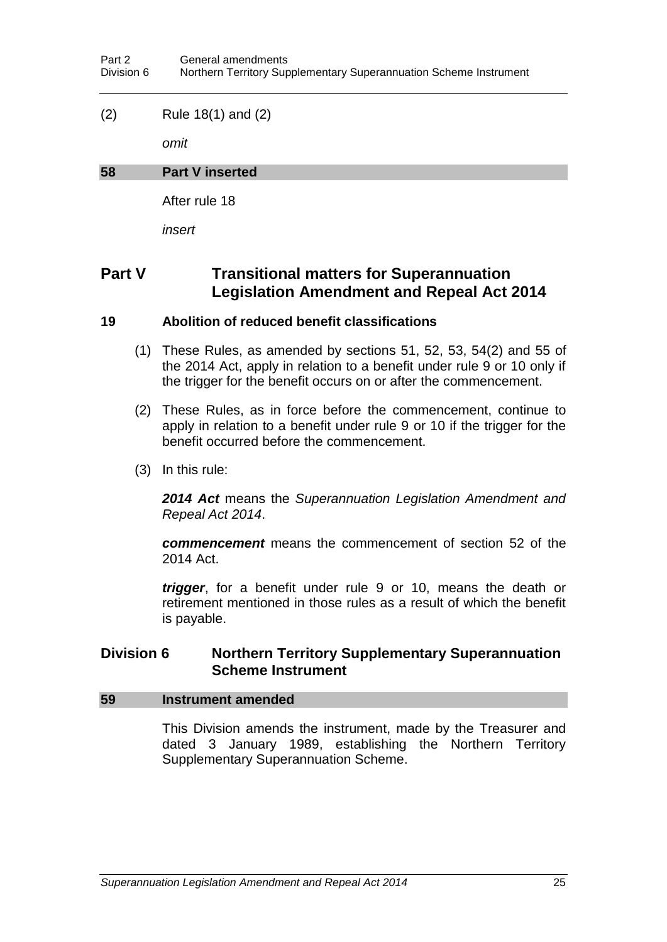## (2) Rule 18(1) and (2)

*omit*

## **58 Part V inserted**

After rule 18

*insert*

# **Part V Transitional matters for Superannuation Legislation Amendment and Repeal Act 2014**

## **19 Abolition of reduced benefit classifications**

- (1) These Rules, as amended by sections 51, 52, 53, 54(2) and 55 of the 2014 Act, apply in relation to a benefit under rule 9 or 10 only if the trigger for the benefit occurs on or after the commencement.
- (2) These Rules, as in force before the commencement, continue to apply in relation to a benefit under rule 9 or 10 if the trigger for the benefit occurred before the commencement.
- (3) In this rule:

*2014 Act* means the *Superannuation Legislation Amendment and Repeal Act 2014*.

*commencement* means the commencement of section 52 of the 2014 Act.

*trigger*, for a benefit under rule 9 or 10, means the death or retirement mentioned in those rules as a result of which the benefit is payable.

## **Division 6 Northern Territory Supplementary Superannuation Scheme Instrument**

## **59 Instrument amended**

This Division amends the instrument, made by the Treasurer and dated 3 January 1989, establishing the Northern Territory Supplementary Superannuation Scheme.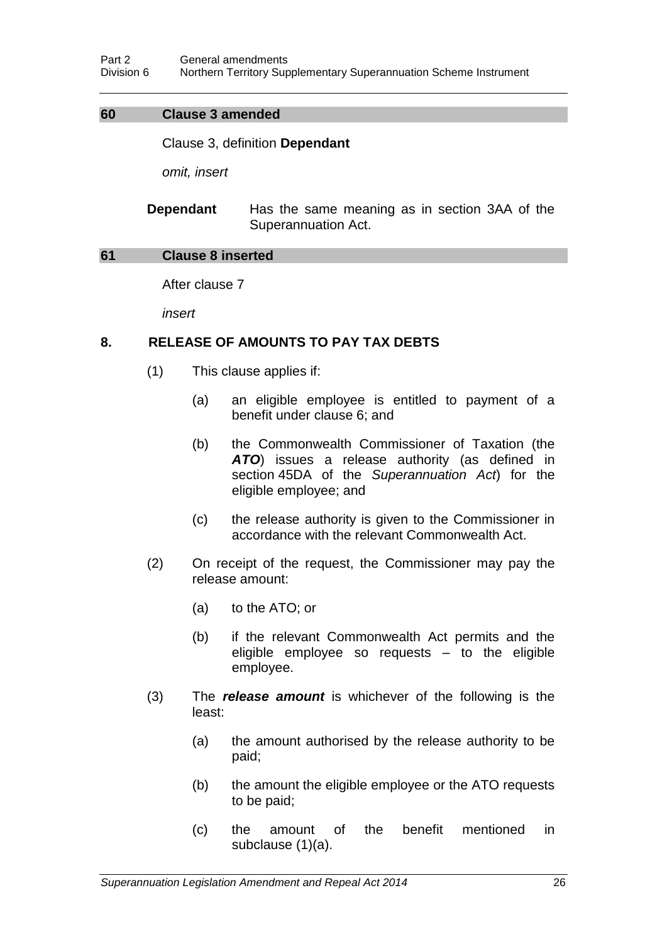## **60 Clause 3 amended**

Clause 3, definition **Dependant**

*omit, insert*

**Dependant** Has the same meaning as in section 3AA of the Superannuation Act.

#### **61 Clause 8 inserted**

After clause 7

*insert*

## **8. RELEASE OF AMOUNTS TO PAY TAX DEBTS**

- (1) This clause applies if:
	- (a) an eligible employee is entitled to payment of a benefit under clause 6; and
	- (b) the Commonwealth Commissioner of Taxation (the *ATO*) issues a release authority (as defined in section 45DA of the *Superannuation Act*) for the eligible employee; and
	- (c) the release authority is given to the Commissioner in accordance with the relevant Commonwealth Act.
- (2) On receipt of the request, the Commissioner may pay the release amount:
	- (a) to the ATO; or
	- (b) if the relevant Commonwealth Act permits and the eligible employee so requests – to the eligible employee.
- (3) The *release amount* is whichever of the following is the least:
	- (a) the amount authorised by the release authority to be paid;
	- (b) the amount the eligible employee or the ATO requests to be paid;
	- (c) the amount of the benefit mentioned in subclause (1)(a).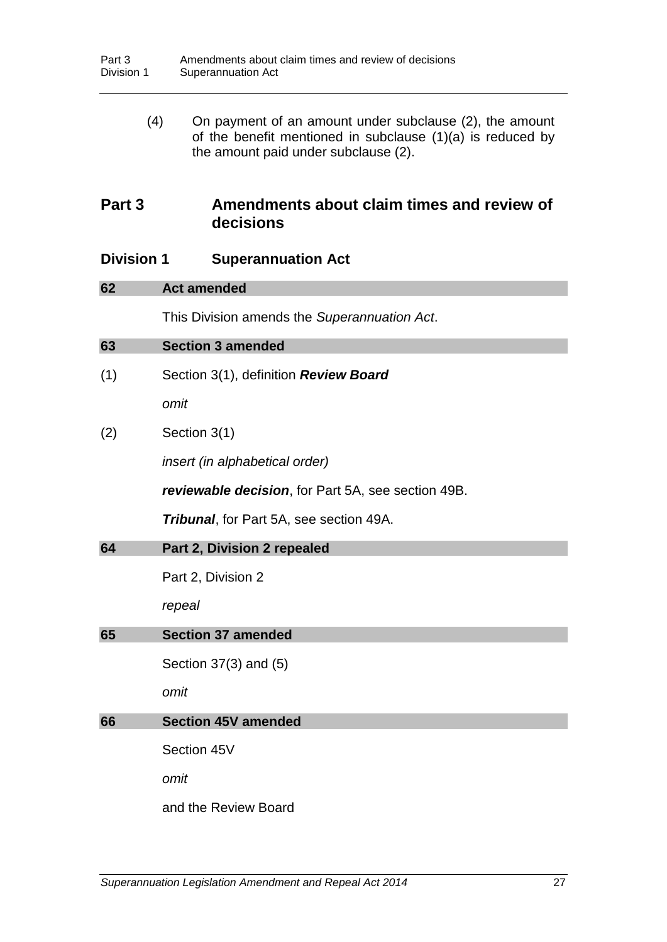| (4)               | On payment of an amount under subclause (2), the amount<br>of the benefit mentioned in subclause (1)(a) is reduced by<br>the amount paid under subclause (2). |
|-------------------|---------------------------------------------------------------------------------------------------------------------------------------------------------------|
| Part 3            | Amendments about claim times and review of<br>decisions                                                                                                       |
| <b>Division 1</b> | <b>Superannuation Act</b>                                                                                                                                     |
| 62                | <b>Act amended</b>                                                                                                                                            |
|                   | This Division amends the Superannuation Act.                                                                                                                  |
| 63                | <b>Section 3 amended</b>                                                                                                                                      |
| (1)               | Section 3(1), definition Review Board                                                                                                                         |
|                   | omit                                                                                                                                                          |
| (2)               | Section 3(1)                                                                                                                                                  |
|                   | <i>insert (in alphabetical order)</i>                                                                                                                         |
|                   | reviewable decision, for Part 5A, see section 49B.                                                                                                            |
|                   | <b>Tribunal,</b> for Part 5A, see section 49A.                                                                                                                |
| 64                | Part 2, Division 2 repealed                                                                                                                                   |
|                   | Part 2, Division 2                                                                                                                                            |
|                   | repeal                                                                                                                                                        |
| 65                | <b>Section 37 amended</b>                                                                                                                                     |
|                   | Section 37(3) and (5)                                                                                                                                         |
|                   | omit                                                                                                                                                          |
| 66                | <b>Section 45V amended</b>                                                                                                                                    |
|                   | Section 45V                                                                                                                                                   |
|                   | omit                                                                                                                                                          |
|                   | and the Review Board                                                                                                                                          |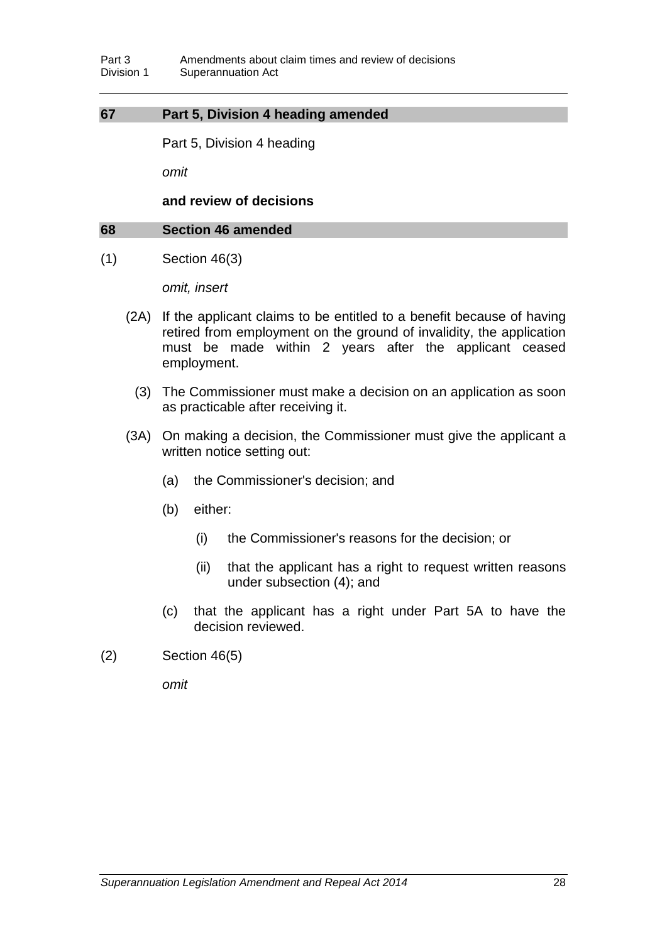## **67 Part 5, Division 4 heading amended**

Part 5, Division 4 heading

*omit*

**and review of decisions**

#### **68 Section 46 amended**

(1) Section 46(3)

*omit, insert*

- (2A) If the applicant claims to be entitled to a benefit because of having retired from employment on the ground of invalidity, the application must be made within 2 years after the applicant ceased employment.
	- (3) The Commissioner must make a decision on an application as soon as practicable after receiving it.
- (3A) On making a decision, the Commissioner must give the applicant a written notice setting out:
	- (a) the Commissioner's decision; and
	- (b) either:
		- (i) the Commissioner's reasons for the decision; or
		- (ii) that the applicant has a right to request written reasons under subsection (4); and
	- (c) that the applicant has a right under Part 5A to have the decision reviewed.
- (2) Section 46(5)

*omit*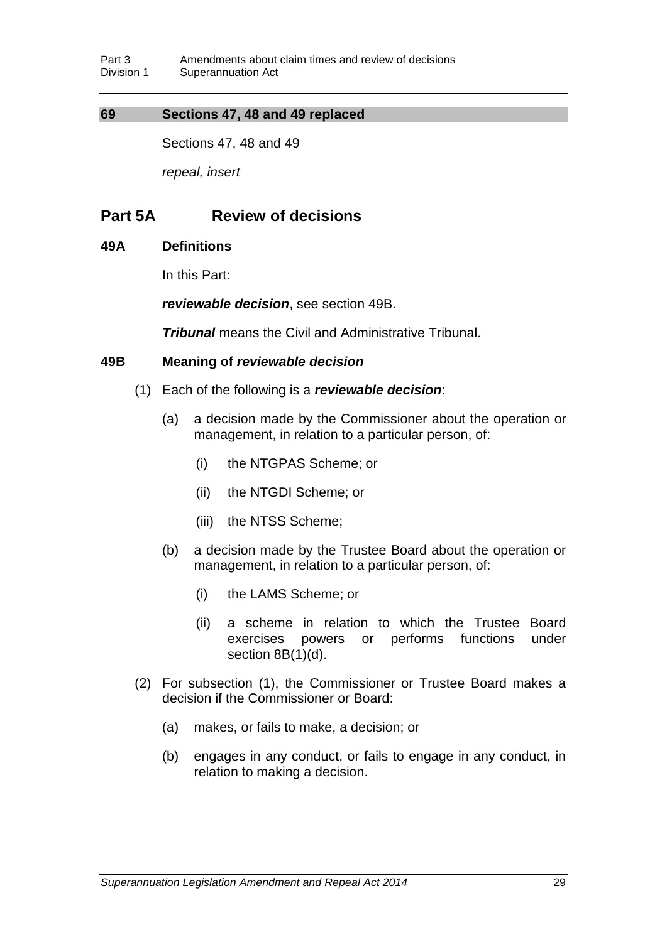## **69 Sections 47, 48 and 49 replaced**

Sections 47, 48 and 49

*repeal, insert*

# **Part 5A Review of decisions**

## **49A Definitions**

In this Part:

*reviewable decision*, see section 49B.

*Tribunal* means the Civil and Administrative Tribunal.

## **49B Meaning of** *reviewable decision*

- (1) Each of the following is a *reviewable decision*:
	- (a) a decision made by the Commissioner about the operation or management, in relation to a particular person, of:
		- (i) the NTGPAS Scheme; or
		- (ii) the NTGDI Scheme; or
		- (iii) the NTSS Scheme;
	- (b) a decision made by the Trustee Board about the operation or management, in relation to a particular person, of:
		- (i) the LAMS Scheme; or
		- (ii) a scheme in relation to which the Trustee Board exercises powers or performs functions under section 8B(1)(d).
- (2) For subsection (1), the Commissioner or Trustee Board makes a decision if the Commissioner or Board:
	- (a) makes, or fails to make, a decision; or
	- (b) engages in any conduct, or fails to engage in any conduct, in relation to making a decision.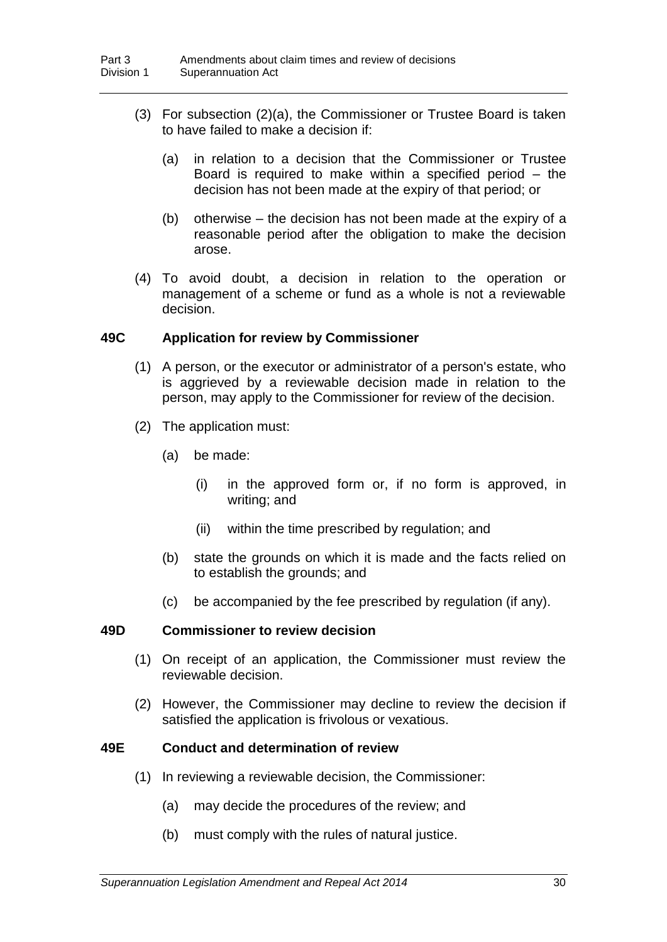- (3) For subsection (2)(a), the Commissioner or Trustee Board is taken to have failed to make a decision if:
	- (a) in relation to a decision that the Commissioner or Trustee Board is required to make within a specified period – the decision has not been made at the expiry of that period; or
	- (b) otherwise the decision has not been made at the expiry of a reasonable period after the obligation to make the decision arose.
- (4) To avoid doubt, a decision in relation to the operation or management of a scheme or fund as a whole is not a reviewable decision.

## **49C Application for review by Commissioner**

- (1) A person, or the executor or administrator of a person's estate, who is aggrieved by a reviewable decision made in relation to the person, may apply to the Commissioner for review of the decision.
- (2) The application must:
	- (a) be made:
		- (i) in the approved form or, if no form is approved, in writing; and
		- (ii) within the time prescribed by regulation; and
	- (b) state the grounds on which it is made and the facts relied on to establish the grounds; and
	- (c) be accompanied by the fee prescribed by regulation (if any).

## **49D Commissioner to review decision**

- (1) On receipt of an application, the Commissioner must review the reviewable decision.
- (2) However, the Commissioner may decline to review the decision if satisfied the application is frivolous or vexatious.

## **49E Conduct and determination of review**

- (1) In reviewing a reviewable decision, the Commissioner:
	- (a) may decide the procedures of the review; and
	- (b) must comply with the rules of natural justice.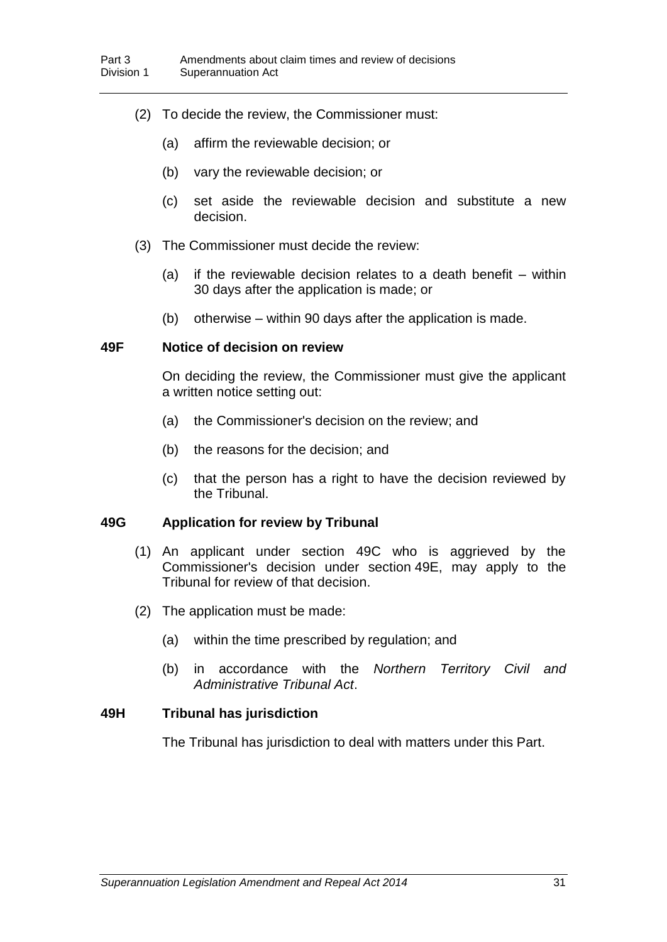- (2) To decide the review, the Commissioner must:
	- (a) affirm the reviewable decision; or
	- (b) vary the reviewable decision; or
	- (c) set aside the reviewable decision and substitute a new decision.
- (3) The Commissioner must decide the review:
	- (a) if the reviewable decision relates to a death benefit within 30 days after the application is made; or
	- (b) otherwise within 90 days after the application is made.

### **49F Notice of decision on review**

On deciding the review, the Commissioner must give the applicant a written notice setting out:

- (a) the Commissioner's decision on the review; and
- (b) the reasons for the decision; and
- (c) that the person has a right to have the decision reviewed by the Tribunal.

## **49G Application for review by Tribunal**

- (1) An applicant under section 49C who is aggrieved by the Commissioner's decision under section 49E, may apply to the Tribunal for review of that decision.
- (2) The application must be made:
	- (a) within the time prescribed by regulation; and
	- (b) in accordance with the *Northern Territory Civil and Administrative Tribunal Act*.

## **49H Tribunal has jurisdiction**

The Tribunal has jurisdiction to deal with matters under this Part.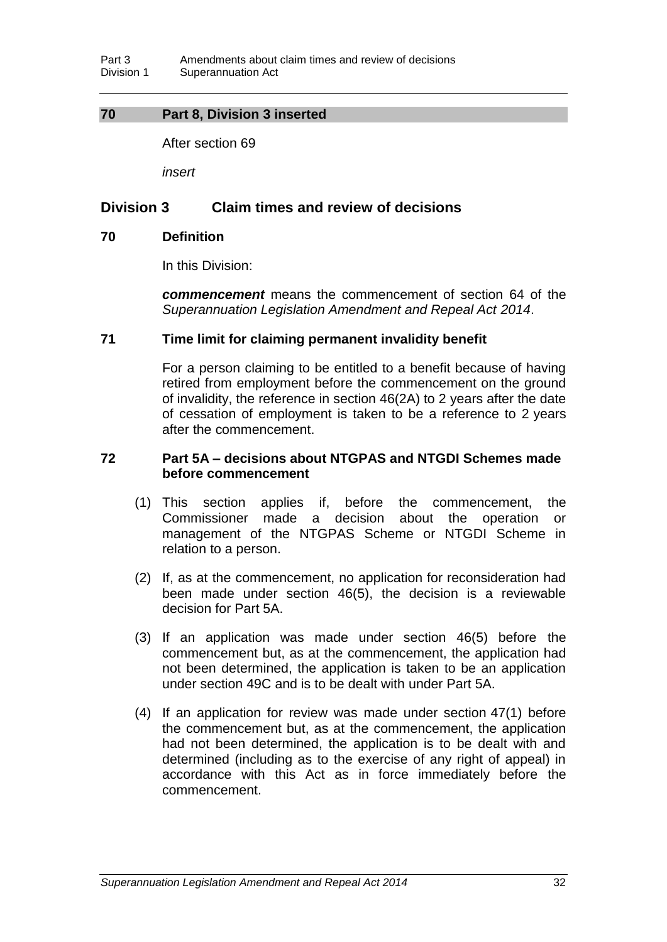## **70 Part 8, Division 3 inserted**

After section 69

*insert*

## **Division 3 Claim times and review of decisions**

#### **70 Definition**

In this Division:

*commencement* means the commencement of section 64 of the *Superannuation Legislation Amendment and Repeal Act 2014*.

## **71 Time limit for claiming permanent invalidity benefit**

For a person claiming to be entitled to a benefit because of having retired from employment before the commencement on the ground of invalidity, the reference in section 46(2A) to 2 years after the date of cessation of employment is taken to be a reference to 2 years after the commencement.

## **72 Part 5A – decisions about NTGPAS and NTGDI Schemes made before commencement**

- (1) This section applies if, before the commencement, the Commissioner made a decision about the operation or management of the NTGPAS Scheme or NTGDI Scheme in relation to a person.
- (2) If, as at the commencement, no application for reconsideration had been made under section 46(5), the decision is a reviewable decision for Part 5A.
- (3) If an application was made under section 46(5) before the commencement but, as at the commencement, the application had not been determined, the application is taken to be an application under section 49C and is to be dealt with under Part 5A.
- (4) If an application for review was made under section 47(1) before the commencement but, as at the commencement, the application had not been determined, the application is to be dealt with and determined (including as to the exercise of any right of appeal) in accordance with this Act as in force immediately before the commencement.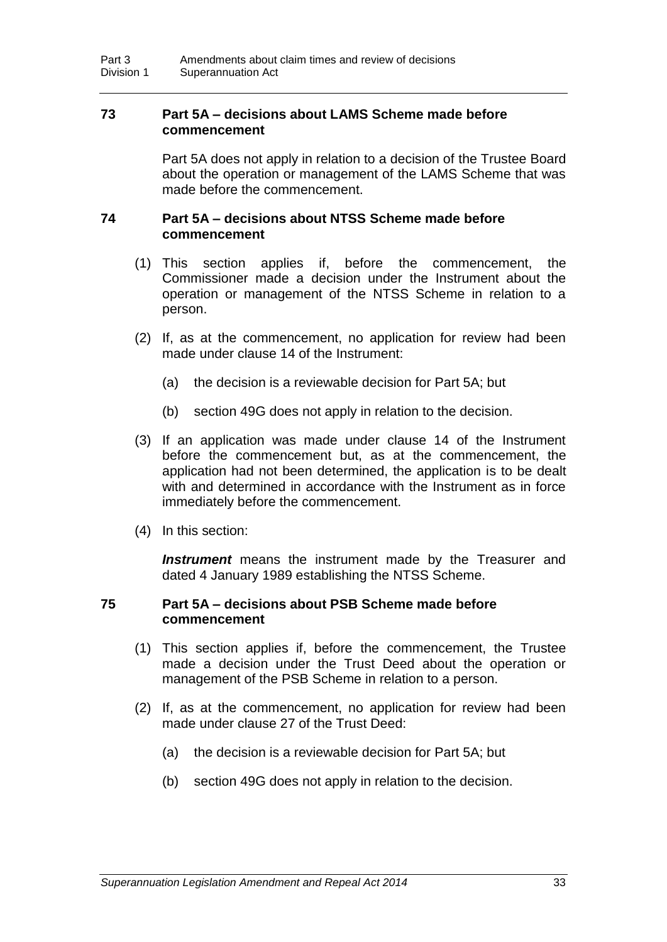## **73 Part 5A – decisions about LAMS Scheme made before commencement**

Part 5A does not apply in relation to a decision of the Trustee Board about the operation or management of the LAMS Scheme that was made before the commencement.

## **74 Part 5A – decisions about NTSS Scheme made before commencement**

- (1) This section applies if, before the commencement, the Commissioner made a decision under the Instrument about the operation or management of the NTSS Scheme in relation to a person.
- (2) If, as at the commencement, no application for review had been made under clause 14 of the Instrument:
	- (a) the decision is a reviewable decision for Part 5A; but
	- (b) section 49G does not apply in relation to the decision.
- (3) If an application was made under clause 14 of the Instrument before the commencement but, as at the commencement, the application had not been determined, the application is to be dealt with and determined in accordance with the Instrument as in force immediately before the commencement.
- (4) In this section:

**Instrument** means the instrument made by the Treasurer and dated 4 January 1989 establishing the NTSS Scheme.

### **75 Part 5A – decisions about PSB Scheme made before commencement**

- (1) This section applies if, before the commencement, the Trustee made a decision under the Trust Deed about the operation or management of the PSB Scheme in relation to a person.
- (2) If, as at the commencement, no application for review had been made under clause 27 of the Trust Deed:
	- (a) the decision is a reviewable decision for Part 5A; but
	- (b) section 49G does not apply in relation to the decision.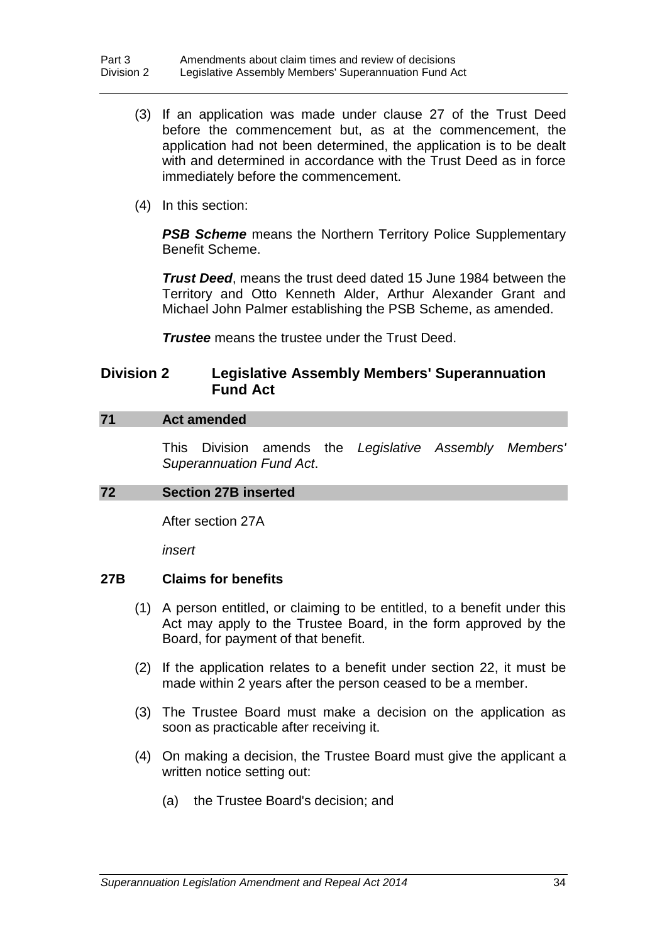- (3) If an application was made under clause 27 of the Trust Deed before the commencement but, as at the commencement, the application had not been determined, the application is to be dealt with and determined in accordance with the Trust Deed as in force immediately before the commencement.
- (4) In this section:

**PSB Scheme** means the Northern Territory Police Supplementary Benefit Scheme.

*Trust Deed*, means the trust deed dated 15 June 1984 between the Territory and Otto Kenneth Alder, Arthur Alexander Grant and Michael John Palmer establishing the PSB Scheme, as amended.

*Trustee* means the trustee under the Trust Deed.

## **Division 2 Legislative Assembly Members' Superannuation Fund Act**

## **71 Act amended**

This Division amends the *Legislative Assembly Members' Superannuation Fund Act*.

## **72 Section 27B inserted**

After section 27A

*insert*

## **27B Claims for benefits**

- (1) A person entitled, or claiming to be entitled, to a benefit under this Act may apply to the Trustee Board, in the form approved by the Board, for payment of that benefit.
- (2) If the application relates to a benefit under section 22, it must be made within 2 years after the person ceased to be a member.
- (3) The Trustee Board must make a decision on the application as soon as practicable after receiving it.
- (4) On making a decision, the Trustee Board must give the applicant a written notice setting out:
	- (a) the Trustee Board's decision; and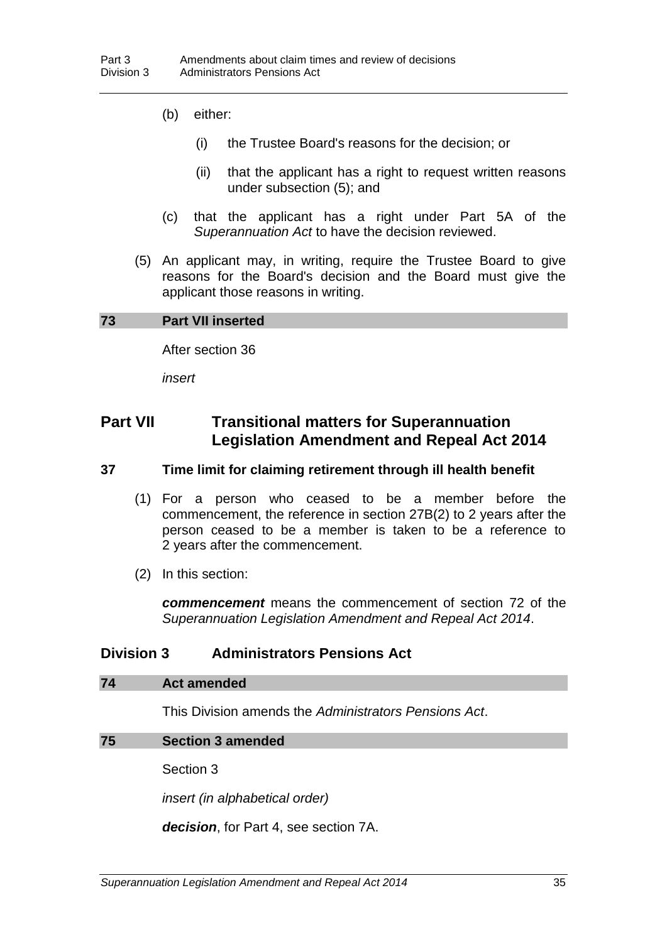- (b) either:
	- (i) the Trustee Board's reasons for the decision; or
	- (ii) that the applicant has a right to request written reasons under subsection (5); and
- (c) that the applicant has a right under Part 5A of the *Superannuation Act* to have the decision reviewed.
- (5) An applicant may, in writing, require the Trustee Board to give reasons for the Board's decision and the Board must give the applicant those reasons in writing.

#### **73 Part VII inserted**

After section 36

*insert*

# **Part VII Transitional matters for Superannuation Legislation Amendment and Repeal Act 2014**

## **37 Time limit for claiming retirement through ill health benefit**

- (1) For a person who ceased to be a member before the commencement, the reference in section 27B(2) to 2 years after the person ceased to be a member is taken to be a reference to 2 years after the commencement.
- (2) In this section:

*commencement* means the commencement of section 72 of the *Superannuation Legislation Amendment and Repeal Act 2014*.

## **Division 3 Administrators Pensions Act**

#### **74 Act amended**

This Division amends the *Administrators Pensions Act*.

#### **75 Section 3 amended**

Section 3

*insert (in alphabetical order)*

*decision*, for Part 4, see section 7A.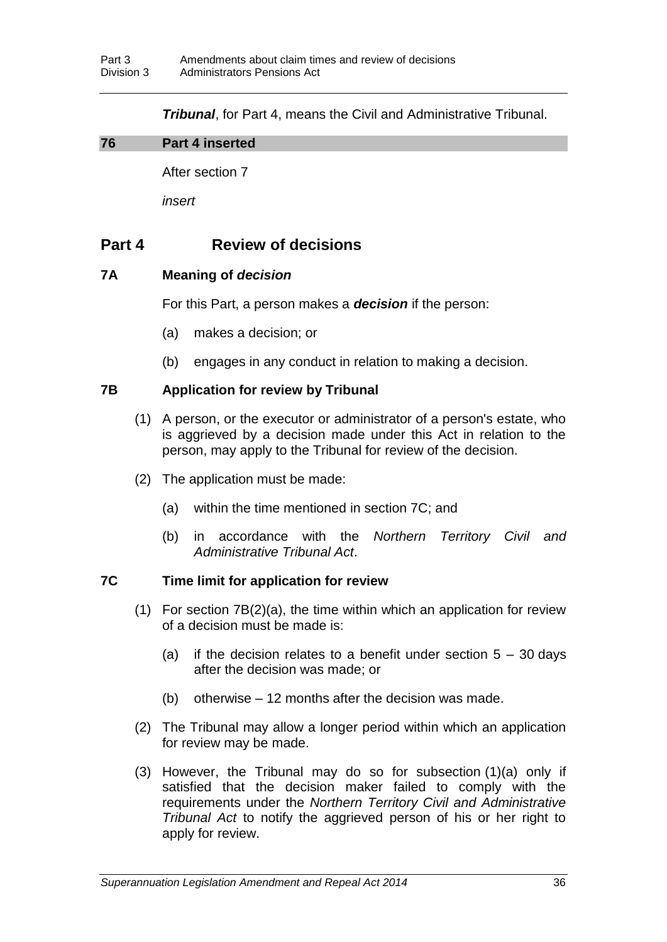*Tribunal*, for Part 4, means the Civil and Administrative Tribunal.

## **76 Part 4 inserted**

After section 7

*insert*

# **Part 4 Review of decisions**

## **7A Meaning of** *decision*

For this Part, a person makes a *decision* if the person:

- (a) makes a decision; or
- (b) engages in any conduct in relation to making a decision.

## **7B Application for review by Tribunal**

- (1) A person, or the executor or administrator of a person's estate, who is aggrieved by a decision made under this Act in relation to the person, may apply to the Tribunal for review of the decision.
- (2) The application must be made:
	- (a) within the time mentioned in section 7C; and
	- (b) in accordance with the *Northern Territory Civil and Administrative Tribunal Act*.

## **7C Time limit for application for review**

- (1) For section 7B(2)(a), the time within which an application for review of a decision must be made is:
	- (a) if the decision relates to a benefit under section  $5 30$  days after the decision was made; or
	- (b) otherwise 12 months after the decision was made.
- (2) The Tribunal may allow a longer period within which an application for review may be made.
- (3) However, the Tribunal may do so for subsection (1)(a) only if satisfied that the decision maker failed to comply with the requirements under the *Northern Territory Civil and Administrative Tribunal Act* to notify the aggrieved person of his or her right to apply for review.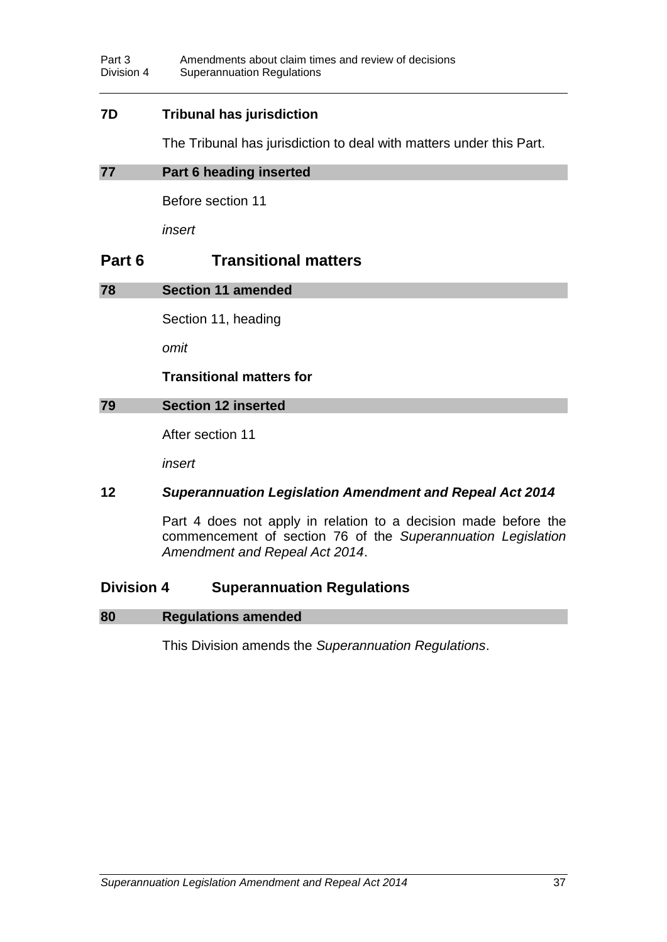## **7D Tribunal has jurisdiction**

The Tribunal has jurisdiction to deal with matters under this Part.

## **77 Part 6 heading inserted**

Before section 11

*insert*

# **Part 6 Transitional matters**

## **78 Section 11 amended**

Section 11, heading

*omit*

### **Transitional matters for**

## **79 Section 12 inserted**

After section 11

*insert*

## **12** *Superannuation Legislation Amendment and Repeal Act 2014*

Part 4 does not apply in relation to a decision made before the commencement of section 76 of the *Superannuation Legislation Amendment and Repeal Act 2014*.

## **Division 4 Superannuation Regulations**

#### **80 Regulations amended**

This Division amends the *Superannuation Regulations*.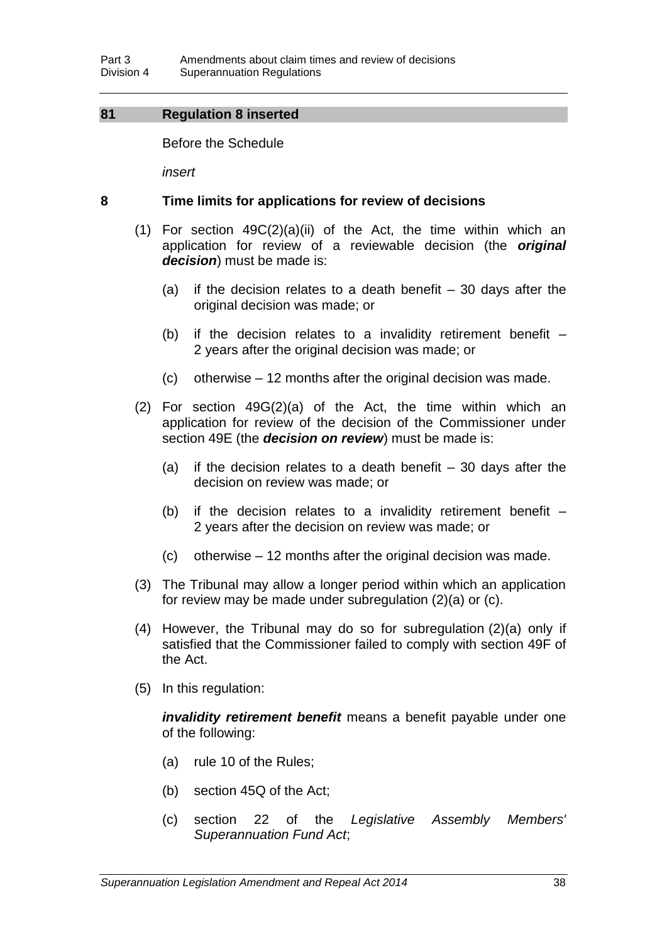## **81 Regulation 8 inserted**

Before the Schedule

*insert*

#### **8 Time limits for applications for review of decisions**

- (1) For section 49C(2)(a)(ii) of the Act, the time within which an application for review of a reviewable decision (the *original decision*) must be made is:
	- (a) if the decision relates to a death benefit  $-30$  days after the original decision was made; or
	- (b) if the decision relates to a invalidity retirement benefit  $-$ 2 years after the original decision was made; or
	- (c) otherwise 12 months after the original decision was made.
- (2) For section 49G(2)(a) of the Act, the time within which an application for review of the decision of the Commissioner under section 49E (the *decision on review*) must be made is:
	- (a) if the decision relates to a death benefit  $-30$  days after the decision on review was made; or
	- (b) if the decision relates to a invalidity retirement benefit  $-$ 2 years after the decision on review was made; or
	- (c) otherwise 12 months after the original decision was made.
- (3) The Tribunal may allow a longer period within which an application for review may be made under subregulation (2)(a) or (c).
- (4) However, the Tribunal may do so for subregulation (2)(a) only if satisfied that the Commissioner failed to comply with section 49F of the Act.
- (5) In this regulation:

*invalidity retirement benefit* means a benefit payable under one of the following:

- (a) rule 10 of the Rules;
- (b) section 45Q of the Act;
- (c) section 22 of the *Legislative Assembly Members' Superannuation Fund Act*;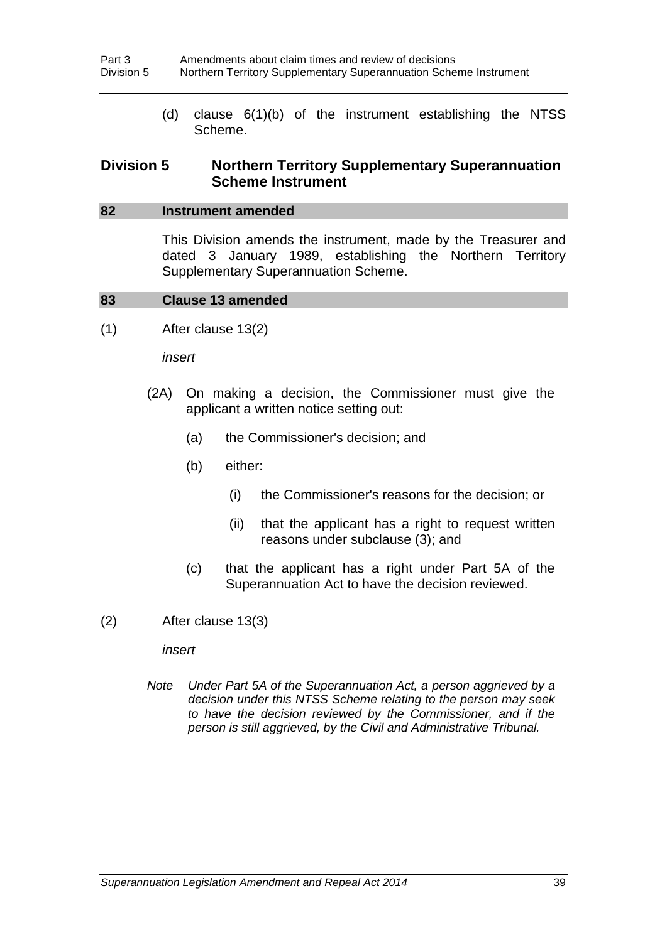(d) clause 6(1)(b) of the instrument establishing the NTSS Scheme.

## **Division 5 Northern Territory Supplementary Superannuation Scheme Instrument**

#### **82 Instrument amended**

This Division amends the instrument, made by the Treasurer and dated 3 January 1989, establishing the Northern Territory Supplementary Superannuation Scheme.

#### **83 Clause 13 amended**

(1) After clause 13(2)

*insert*

- (2A) On making a decision, the Commissioner must give the applicant a written notice setting out:
	- (a) the Commissioner's decision; and
	- (b) either:
		- (i) the Commissioner's reasons for the decision; or
		- (ii) that the applicant has a right to request written reasons under subclause (3); and
	- (c) that the applicant has a right under Part 5A of the Superannuation Act to have the decision reviewed.
- (2) After clause 13(3)

*insert*

*Note Under Part 5A of the Superannuation Act, a person aggrieved by a decision under this NTSS Scheme relating to the person may seek to have the decision reviewed by the Commissioner, and if the person is still aggrieved, by the Civil and Administrative Tribunal.*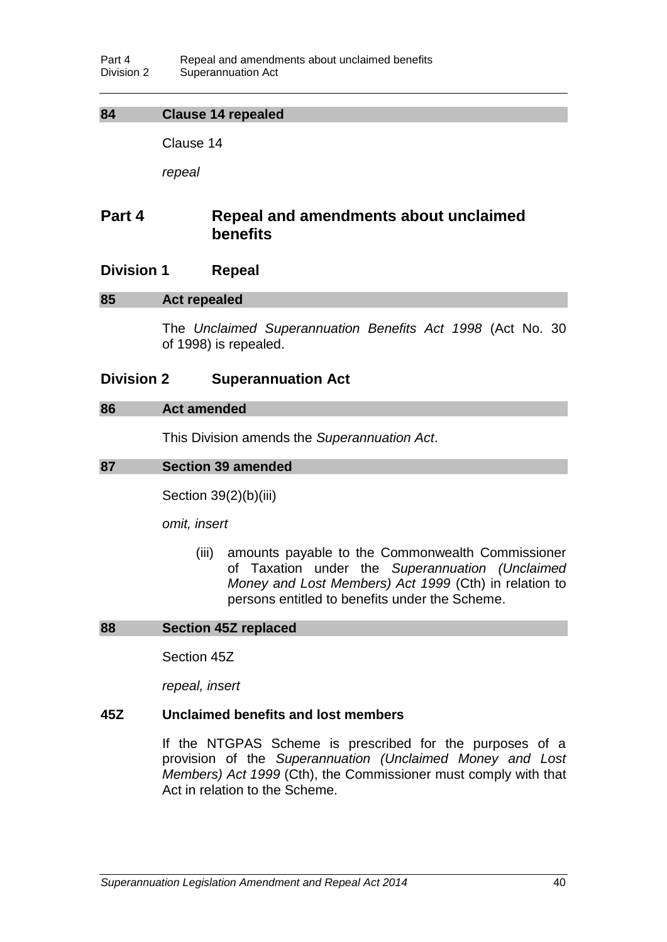## **84 Clause 14 repealed**

Clause 14

*repeal*

# **Part 4 Repeal and amendments about unclaimed benefits**

## **Division 1 Repeal**

#### **85 Act repealed**

The *Unclaimed Superannuation Benefits Act 1998* (Act No. 30 of 1998) is repealed.

### **Division 2 Superannuation Act**

#### **86 Act amended**

This Division amends the *Superannuation Act*.

#### **87 Section 39 amended**

Section 39(2)(b)(iii)

*omit, insert*

(iii) amounts payable to the Commonwealth Commissioner of Taxation under the *Superannuation (Unclaimed Money and Lost Members) Act 1999* (Cth) in relation to persons entitled to benefits under the Scheme.

#### **88 Section 45Z replaced**

Section 45Z

*repeal, insert*

#### **45Z Unclaimed benefits and lost members**

If the NTGPAS Scheme is prescribed for the purposes of a provision of the *Superannuation (Unclaimed Money and Lost Members) Act 1999* (Cth), the Commissioner must comply with that Act in relation to the Scheme.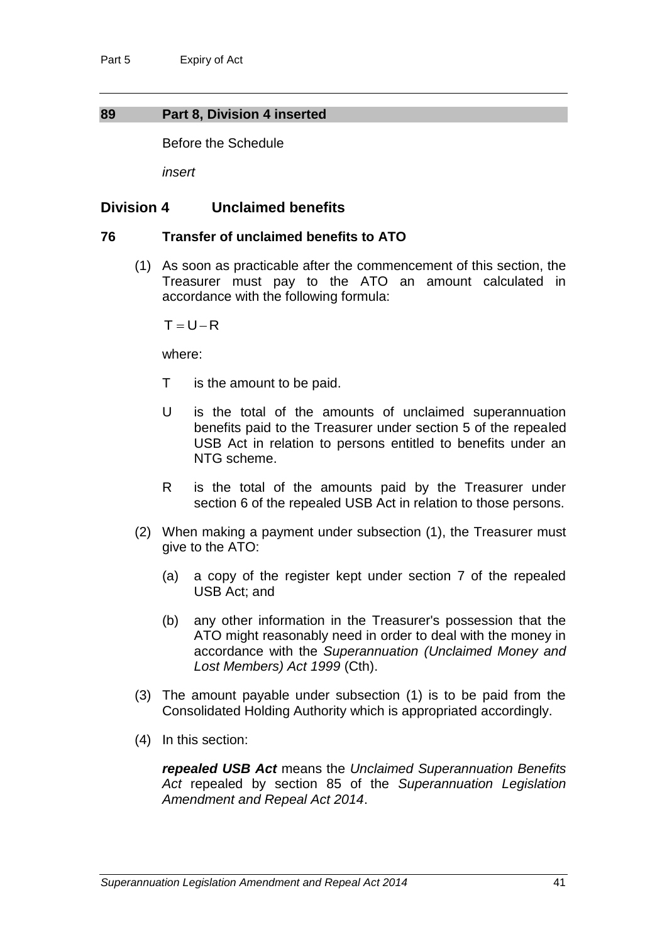### **89 Part 8, Division 4 inserted**

Before the Schedule

*insert*

## **Division 4 Unclaimed benefits**

#### **76 Transfer of unclaimed benefits to ATO**

(1) As soon as practicable after the commencement of this section, the Treasurer must pay to the ATO an amount calculated in accordance with the following formula:

 $T = U - R$ 

where:

- T is the amount to be paid.
- U is the total of the amounts of unclaimed superannuation benefits paid to the Treasurer under section 5 of the repealed USB Act in relation to persons entitled to benefits under an NTG scheme.
- R is the total of the amounts paid by the Treasurer under section 6 of the repealed USB Act in relation to those persons.
- (2) When making a payment under subsection (1), the Treasurer must give to the ATO:
	- (a) a copy of the register kept under section 7 of the repealed USB Act; and
	- (b) any other information in the Treasurer's possession that the ATO might reasonably need in order to deal with the money in accordance with the *Superannuation (Unclaimed Money and Lost Members) Act 1999* (Cth).
- (3) The amount payable under subsection (1) is to be paid from the Consolidated Holding Authority which is appropriated accordingly.
- (4) In this section:

*repealed USB Act* means the *Unclaimed Superannuation Benefits Act* repealed by section 85 of the *Superannuation Legislation Amendment and Repeal Act 2014*.